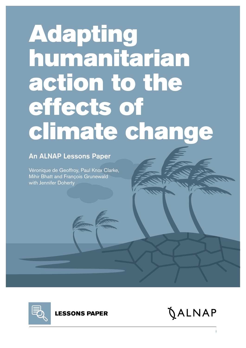# Adapting humanitarian action to the effects of climate change

## An ALNAP Lessons Paper

Véronique de Geoffroy, Paul Knox Clarke, Mihir Bhatt and François Grunewald with Jennifer Doherty



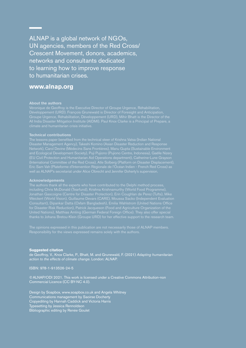ALNAP is a global network of NGOs, UN agencies, members of the Red Cross/ Crescent Movement, donors, academics, networks and consultants dedicated to learning how to improve response to humanitarian crises.

#### **[www.alnap.org](http://www.alnap.org)**

#### **About the authors**

Véronique de Geoffroy is the Executive Director of Groupe Urgence, Réhabilitation,

#### **Technical contributions**

The lessons paper benefited from the technical steer of Krishna Vatsa (Indian National Disaster Management Agency), Takeshi Komino (Asian Disaster Reduction and Response (EU Civil Protection and Humanitarian Aid Operations department), Catherine-Lune Grayson well as ALNAP's secretariat under Alice Obrecht and Jennifer Doherty's supervision.

#### **Acknowledgements**

The authors thank all the experts who have contributed to the Delphi method process, Weickert (World Vision), Guillaume Devars (CARE), Moussa Sacko (Independent Evaluation Consultant), Dipankar Datta (Oxfam Bangladesh), Emilia Wahlstrom (United Nations Office for Disaster Risk Reduction), Patrick Jacqueson (Food and Agriculture Organization of the United Nations), Matthias Amling (German Federal Foreign Office). They also offer special thanks to Johana Bretou-Klein (Groupe URD) for her effective support to the research team.

#### **Suggested citation**

de Geoffroy, V., Knox Clarke, P., Bhatt, M. and Grunewald, F. (2021) *Adapting humanitarian action to the effects of climate change*. London: ALNAP.

ISBN: 978-1-913526-24-5

©ALNAP/ODI 2021. This work is licensed under a Creative Commons Attribution-non Commercial Licence (CC BY-NC 4.0).

Design by Soapbox, www.soapbox.co.uk and Angela Whitney Communications management by Saoirse Docherty Copyediting by Hannah Caddick and Victoria Harris Typesetting by Jessica Rennoldson Bibliographic editing by Renée Goulet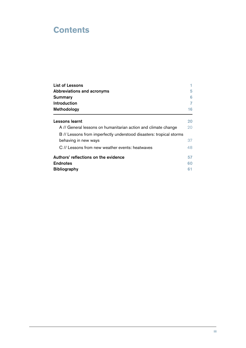## **Contents**

| List of Lessons                                                     |    |
|---------------------------------------------------------------------|----|
| Abbreviations and acronyms                                          | 5  |
| Summary                                                             | 6  |
| Introduction                                                        | 7  |
| Methodology                                                         | 16 |
| Lessons learnt                                                      | 20 |
| A // General lessons on humanitarian action and climate change      | 20 |
| B // Lessons from imperfectly understood disasters: tropical storms |    |
| behaving in new ways                                                | 37 |
| C // Lessons from new weather events: heatwaves                     | 48 |
| Authors' reflections on the evidence                                | 57 |
| <b>Endnotes</b>                                                     | 60 |
| <b>Bibliography</b>                                                 | 61 |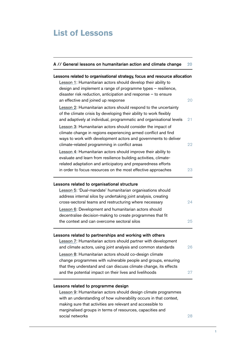## <span id="page-3-0"></span>**List of Lessons**

| A // General lessons on humanitarian action and climate change                                                                                                                                                                                                                                         | 20 |
|--------------------------------------------------------------------------------------------------------------------------------------------------------------------------------------------------------------------------------------------------------------------------------------------------------|----|
| Lessons related to organisational strategy, focus and resource allocation<br>Lesson 1: Humanitarian actors should develop their ability to<br>design and implement a range of programme types - resilience,                                                                                            |    |
| disaster risk reduction, anticipation and response $-$ to ensure<br>an effective and joined up response                                                                                                                                                                                                | 20 |
| Lesson 2: Humanitarian actors should respond to the uncertainty<br>of the climate crisis by developing their ability to work flexibly<br>and adaptively at individual, programmatic and organisational levels                                                                                          | 21 |
| Lesson 3: Humanitarian actors should consider the impact of<br>climate change in regions experiencing armed conflict and find<br>ways to work with development actors and governments to deliver<br>climate-related programming in conflict areas                                                      | 22 |
| Lesson 4: Humanitarian actors should improve their ability to<br>evaluate and learn from resilience building activities, climate-<br>related adaptation and anticipatory and preparedness efforts                                                                                                      |    |
| in order to focus resources on the most effective approaches                                                                                                                                                                                                                                           | 23 |
| Lessons related to organisational structure<br>Lesson 5: 'Dual-mandate' humanitarian organisations should                                                                                                                                                                                              |    |
| address internal silos by undertaking joint analysis, creating<br>cross-sectoral teams and restructuring where necessary                                                                                                                                                                               | 24 |
| Lesson 6: Development and humanitarian actors should<br>decentralise decision-making to create programmes that fit<br>the context and can overcome sectoral silos                                                                                                                                      | 25 |
| Lessons related to partnerships and working with others<br>Lesson 7: Humanitarian actors should partner with development<br>and climate actors, using joint analysis and common standards                                                                                                              | 26 |
| Lesson 8: Humanitarian actors should co-design climate<br>change programmes with vulnerable people and groups, ensuring<br>that they understand and can discuss climate change, its effects<br>and the potential impact on their lives and livelihoods                                                 | 27 |
| Lessons related to programme design<br>Lesson 9: Humanitarian actors should design climate programmes<br>with an understanding of how vulnerability occurs in that context,<br>making sure that activities are relevant and accessible to<br>marginalised groups in terms of resources, capacities and |    |

[social networks](#page-30-1) 28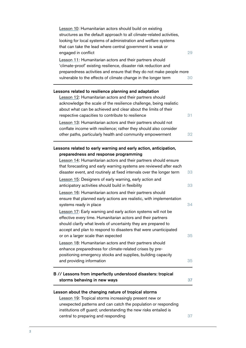| Lesson 10: Humanitarian actors should build on existing<br>structures as the default approach to all climate-related activities,<br>looking for local systems of administration and welfare systems<br>that can take the lead where central government is weak or                                                           |    |
|-----------------------------------------------------------------------------------------------------------------------------------------------------------------------------------------------------------------------------------------------------------------------------------------------------------------------------|----|
| engaged in conflict<br>Lesson 11: Humanitarian actors and their partners should                                                                                                                                                                                                                                             | 29 |
| 'climate-proof' existing resilience, disaster risk reduction and<br>preparedness activities and ensure that they do not make people more<br>vulnerable to the effects of climate change in the longer term                                                                                                                  | 30 |
| Lessons related to resilience planning and adaptation                                                                                                                                                                                                                                                                       |    |
| Lesson 12: Humanitarian actors and their partners should<br>acknowledge the scale of the resilience challenge, being realistic<br>about what can be achieved and clear about the limits of their                                                                                                                            |    |
| respective capacities to contribute to resilience<br>Lesson 13: Humanitarian actors and their partners should not                                                                                                                                                                                                           | 31 |
| conflate income with resilience; rather they should also consider<br>other paths, particularly health and community empowerment                                                                                                                                                                                             | 32 |
| Lessons related to early warning and early action, anticipation,<br>preparedness and response programming<br>Lesson 14: Humanitarian actors and their partners should ensure<br>that forecasting and early warning systems are reviewed after each<br>disaster event, and routinely at fixed intervals over the longer term | 33 |
| Lesson 15: Designers of early warning, early action and<br>anticipatory activities should build in flexibility                                                                                                                                                                                                              | 33 |
| Lesson 16: Humanitarian actors and their partners should<br>ensure that planned early actions are realistic, with implementation<br>systems ready in place                                                                                                                                                                  | 34 |
| Lesson 17: Early warning and early action systems will not be<br>effective every time. Humanitarian actors and their partners<br>should clarify what levels of uncertainty they are prepared to<br>accept and plan to respond to disasters that were unanticipated<br>or on a larger scale than expected                    | 35 |
| Lesson 18: Humanitarian actors and their partners should<br>enhance preparedness for climate-related crises by pre-<br>positioning emergency stocks and supplies, building capacity<br>and providing information                                                                                                            | 35 |
| B // Lessons from imperfectly understood disasters: tropical<br>storms behaving in new ways                                                                                                                                                                                                                                 | 37 |
| Lesson about the changing nature of tropical storms<br>Lesson 19: Tropical storms increasingly present new or<br>unexpected patterns and can catch the population or responding<br>institutions off guard; understanding the new risks entailed is<br>central to preparing and responding                                   | 37 |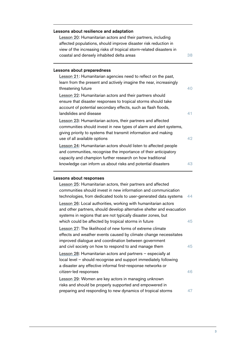| Lessons about resilience and adaptation<br>Lesson 20: Humanitarian actors and their partners, including |    |  |  |  |
|---------------------------------------------------------------------------------------------------------|----|--|--|--|
| affected populations, should improve disaster risk reduction in                                         |    |  |  |  |
| view of the increasing risks of tropical storm-related disasters in                                     |    |  |  |  |
| coastal and densely inhabited delta areas                                                               | 38 |  |  |  |
| Lessons about preparedness                                                                              |    |  |  |  |
| Lesson 21: Humanitarian agencies need to reflect on the past,                                           |    |  |  |  |
| learn from the present and actively imagine the near, increasingly                                      |    |  |  |  |
| threatening future                                                                                      | 40 |  |  |  |
| Lesson 22: Humanitarian actors and their partners should                                                |    |  |  |  |
| ensure that disaster responses to tropical storms should take                                           |    |  |  |  |
| account of potential secondary effects, such as flash floods,                                           |    |  |  |  |
| landslides and disease                                                                                  | 41 |  |  |  |
| Lesson 23: Humanitarian actors, their partners and affected                                             |    |  |  |  |
| communities should invest in new types of alarm and alert systems,                                      |    |  |  |  |
| giving priority to systems that transmit information and making                                         |    |  |  |  |
| use of all available options                                                                            | 42 |  |  |  |
| Lesson 24: Humanitarian actors should listen to affected people                                         |    |  |  |  |
| and communities, recognise the importance of their anticipatory                                         |    |  |  |  |
| capacity and champion further research on how traditional                                               |    |  |  |  |
| knowledge can inform us about risks and potential disasters                                             | 43 |  |  |  |
| Lessons about responses                                                                                 |    |  |  |  |
| Lesson 25: Humanitarian actors, their partners and affected                                             |    |  |  |  |
| communities should invest in new information and communication                                          |    |  |  |  |
| technologies, from dedicated tools to user-generated data systems                                       | 44 |  |  |  |
| Lesson 26: Local authorities, working with humanitarian actors                                          |    |  |  |  |
| and other partners, should develop alternative shelter and evacuation                                   |    |  |  |  |
| systems in regions that are not typically disaster zones, but                                           |    |  |  |  |
| which could be affected by tropical storms in future                                                    | 45 |  |  |  |
| Lesson 27: The likelihood of new forms of extreme climate                                               |    |  |  |  |
| effects and weather events caused by climate change necessitates                                        |    |  |  |  |
| improved dialogue and coordination between government                                                   |    |  |  |  |
| and civil society on how to respond to and manage them                                                  | 45 |  |  |  |
| Lesson 28: Humanitarian actors and partners - especially at                                             |    |  |  |  |
| local level - should recognise and support immediately following                                        |    |  |  |  |
| a disaster any effective informal first-response networks or                                            |    |  |  |  |
| citizen-led responses                                                                                   | 46 |  |  |  |
| Lesson 29: Women are key actors in managing unknown                                                     |    |  |  |  |
| risks and should be properly supported and empowered in                                                 |    |  |  |  |
| preparing and responding to new dynamics of tropical storms                                             | 47 |  |  |  |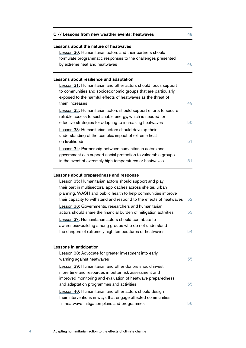| C // Lessons from new weather events: heatwaves                                                                                                                                                                                                                                                                                                                                            | 48       |
|--------------------------------------------------------------------------------------------------------------------------------------------------------------------------------------------------------------------------------------------------------------------------------------------------------------------------------------------------------------------------------------------|----------|
| Lessons about the nature of heatwaves                                                                                                                                                                                                                                                                                                                                                      |          |
| Lesson 30: Humanitarian actors and their partners should                                                                                                                                                                                                                                                                                                                                   |          |
| formulate programmatic responses to the challenges presented                                                                                                                                                                                                                                                                                                                               |          |
| by extreme heat and heatwaves                                                                                                                                                                                                                                                                                                                                                              | 48       |
|                                                                                                                                                                                                                                                                                                                                                                                            |          |
| Lessons about resilience and adaptation                                                                                                                                                                                                                                                                                                                                                    |          |
| Lesson 31: Humanitarian and other actors should focus support                                                                                                                                                                                                                                                                                                                              |          |
| to communities and socioeconomic groups that are particularly                                                                                                                                                                                                                                                                                                                              |          |
| exposed to the harmful effects of heatwaves as the threat of                                                                                                                                                                                                                                                                                                                               |          |
| them increases                                                                                                                                                                                                                                                                                                                                                                             | 49       |
| Lesson 32: Humanitarian actors should support efforts to secure                                                                                                                                                                                                                                                                                                                            |          |
| reliable access to sustainable energy, which is needed for                                                                                                                                                                                                                                                                                                                                 |          |
| effective strategies for adapting to increasing heatwaves                                                                                                                                                                                                                                                                                                                                  | 50       |
| Lesson 33: Humanitarian actors should develop their                                                                                                                                                                                                                                                                                                                                        |          |
| understanding of the complex impact of extreme heat                                                                                                                                                                                                                                                                                                                                        |          |
| on livelihoods                                                                                                                                                                                                                                                                                                                                                                             | 51       |
| Lesson 34: Partnership between humanitarian actors and                                                                                                                                                                                                                                                                                                                                     |          |
| government can support social protection to vulnerable groups                                                                                                                                                                                                                                                                                                                              |          |
| in the event of extremely high temperatures or heatwaves                                                                                                                                                                                                                                                                                                                                   | 51       |
| Lesson 35: Humanitarian actors should support and play<br>their part in multisectoral approaches across shelter, urban<br>planning, WASH and public health to help communities improve<br>their capacity to withstand and respond to the effects of heatwaves<br>Lesson 36: Governments, researchers and humanitarian<br>actors should share the financial burden of mitigation activities | 52<br>53 |
| Lesson 37: Humanitarian actors should contribute to                                                                                                                                                                                                                                                                                                                                        |          |
| awareness-building among groups who do not understand                                                                                                                                                                                                                                                                                                                                      |          |
| the dangers of extremely high temperatures or heatwaves                                                                                                                                                                                                                                                                                                                                    | 54       |
| Lessons in anticipation                                                                                                                                                                                                                                                                                                                                                                    |          |
| Lesson 38: Advocate for greater investment into early                                                                                                                                                                                                                                                                                                                                      |          |
| warning against heatwaves                                                                                                                                                                                                                                                                                                                                                                  | 55       |
| Lesson 39: Humanitarian and other donors should invest                                                                                                                                                                                                                                                                                                                                     |          |
| more time and resources in better risk assessment and                                                                                                                                                                                                                                                                                                                                      |          |
| improved monitoring and evaluation of heatwave preparedness                                                                                                                                                                                                                                                                                                                                |          |
| and adaptation programmes and activities                                                                                                                                                                                                                                                                                                                                                   | 55       |
| Lesson 40: Humanitarian and other actors should design                                                                                                                                                                                                                                                                                                                                     |          |
| their interventions in ways that engage affected communities                                                                                                                                                                                                                                                                                                                               |          |
| in heatwave mitigation plans and programmes                                                                                                                                                                                                                                                                                                                                                | 56       |
|                                                                                                                                                                                                                                                                                                                                                                                            |          |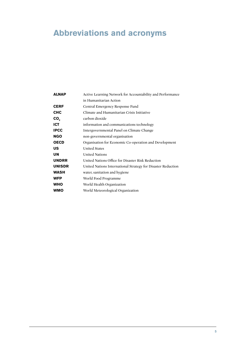## <span id="page-7-0"></span>**Abbreviations and acronyms**

| <b>ALNAP</b>    | Active Learning Network for Accountability and Performance   |  |  |
|-----------------|--------------------------------------------------------------|--|--|
|                 | in Humanitarian Action                                       |  |  |
| <b>CERF</b>     | Central Emergency Response Fund                              |  |  |
| <b>CHC</b>      | Climate and Humanitarian Crisis Initiative                   |  |  |
| CO <sub>2</sub> | carbon dioxide                                               |  |  |
| <b>ICT</b>      | information and communications technology                    |  |  |
| <b>IPCC</b>     | Intergovernmental Panel on Climate Change                    |  |  |
| <b>NGO</b>      | non-governmental organisation                                |  |  |
| <b>OECD</b>     | Organisation for Economic Co-operation and Development       |  |  |
| <b>US</b>       | <b>United States</b>                                         |  |  |
| UN              | <b>United Nations</b>                                        |  |  |
| <b>UNDRR</b>    | United Nations Office for Disaster Risk Reduction            |  |  |
| <b>UNISDR</b>   | United Nations International Strategy for Disaster Reduction |  |  |
| <b>WASH</b>     | water, sanitation and hygiene                                |  |  |
| <b>WFP</b>      | World Food Programme                                         |  |  |
| <b>WHO</b>      | World Health Organization                                    |  |  |
| <b>WMO</b>      | World Meteorological Organization                            |  |  |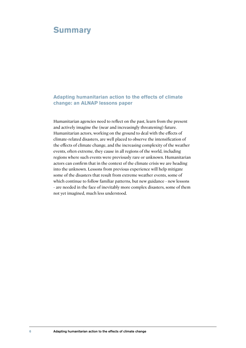## <span id="page-8-0"></span>**Summary**

#### **Adapting humanitarian action to the effects of climate change: an ALNAP lessons paper**

Humanitarian agencies need to reflect on the past, learn from the present and actively imagine the (near and increasingly threatening) future. Humanitarian actors, working on the ground to deal with the effects of climate-related disasters, are well placed to observe the intensification of the effects of climate change, and the increasing complexity of the weather events, often extreme, they cause in all regions of the world, including regions where such events were previously rare or unknown. Humanitarian actors can confirm that in the context of the climate crisis we are heading into the unknown. Lessons from previous experience will help mitigate some of the disasters that result from extreme weather events, some of which continue to follow familiar patterns, but new guidance - new lessons - are needed in the face of inevitably more complex disasters, some of them not yet imagined, much less understood.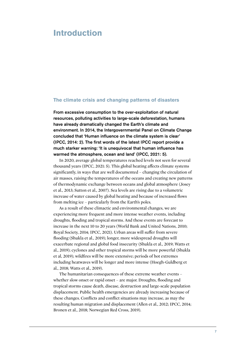## <span id="page-9-0"></span>**Introduction**

#### **The climate crisis and changing patterns of disasters**

From excessive consumption to the over-exploitation of natural resources, polluting activities to large-scale deforestation, humans have already dramatically changed the Earth's climate and environment. In 2014, the Intergovernmental Panel on Climate Change concluded that 'Human influence on the climate system is clear' (IPCC, 2014: 2). The first words of the latest IPCC report provide a much starker warning: 'It is unequivocal that human influence has warmed the atmosphere, ocean and land' (IPCC, 2021: 5).

In 2020, average global temperatures reached levels not seen for several thousand years (IPCC, 2021: 5). This global heating affects climate systems significantly, in ways that are well documented – changing the circulation of air masses, raising the temperatures of the oceans and creating new patterns of thermodynamic exchange between oceans and global atmosphere (Josey et al., 2013; Sutton et al., 2007). Sea levels are rising due to a volumetric increase of water caused by global heating and because of increased flows from melting ice – particularly from the Earth's poles.

As a result of these climactic and environmental changes, we are experiencing more frequent and more intense weather events, including droughts, flooding and tropical storms. And these events are forecast to increase in the next 10 to 20 years (World Bank and United Nations, 2010; Royal Society, 2014; IPCC, 2021). Urban areas will suffer from severe flooding (Shukla et al., 2019); longer, more widespread droughts will exacerbate regional and global food insecurity (Shukla et al., 2019; Watts et al., 2019); cyclones and other tropical storms will be more powerful (Shukla et al, 2019); wildfires will be more extensive; periods of hot extremes including heatwaves will be longer and more intense (Hoegh-Guldberg et al., 2018; Watts et al., 2019).

The humanitarian consequences of these extreme weather events – whether slow onset or rapid onset – are major. Droughts, flooding and tropical storms cause death, disease, destruction and large-scale population displacement. Public health emergencies are already increasing because of these changes. Conflicts and conflict situations may increase, as may the resulting human migration and displacement (Allen et al., 2012; IPCC, 2014; Bronen et al., 2018; Norwegian Red Cross, 2019).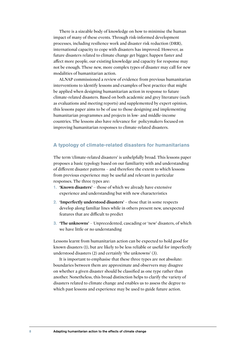There is a sizeable body of knowledge on how to minimise the human impact of many of these events. Through risk-informed development processes, including resilience work and disaster risk reduction (DRR), international capacity to cope with disasters has improved. However, as future disasters related to climate change get bigger, happen faster and affect more people, our existing knowledge and capacity for response may not be enough. These new, more complex types of disaster may call for new modalities of humanitarian action.

ALNAP commissioned a review of evidence from previous humanitarian interventions to identify lessons and examples of best practice that might be applied when designing humanitarian action in response to future climate-related disasters. Based on both academic and grey literature (such as evaluations and meeting reports) and supplemented by expert opinion, this lessons paper aims to be of use to those designing and implementing humanitarian programmes and projects in low- and middle-income countries. The lessons also have relevance for policymakers focused on improving humanitarian responses to climate-related disasters.

#### **A typology of climate-related disasters for humanitarians**

The term 'climate-related disasters' is unhelpfully broad. This lessons paper proposes a basic typology based on our familiarity with and understanding of different disaster patterns – and therefore the extent to which lessons from previous experience may be useful and relevant in particular responses. The three types are:

- 1. **'Known disasters'** those of which we already have extensive experience and understanding but with new characteristics
- 2. **The 11-4 The Universe Conservant Conservant Conservant Conservant Conservant Conservant Conservant Conservant Conservant Conservant Conservant Conservant Conservation Conservation Conservation Conservation Conservati** develop along familiar lines while in others present new, unexpected features that are difficult to predict
- 3. **'The unknowns'** Unprecedented, cascading or 'new' disasters, of which we have little or no understanding

Lessons learnt from humanitarian action can be expected to hold good for known disasters (1), but are likely to be less reliable or useful for imperfectly understood disasters (2) and certainly 'the unknowns' (3).

It is important to emphasise that these three types are not absolute: boundaries between them are approximate and observers may disagree on whether a given disaster should be classified as one type rather than another. Nonetheless, this broad distinction helps to clarify the variety of disasters related to climate change and enables us to assess the degree to which past lessons and experience may be used to guide future action.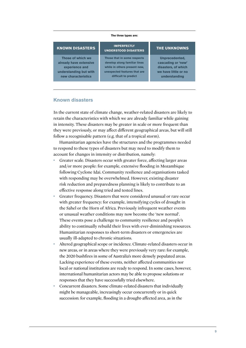#### **The three types are:**

#### **KNOWN DISASTERS**

 **Those of which we already have extensive experience and understanding but with new characteristics** 

#### **IMPERFECTLY UNDERSTOOD DISASTERS**

**Those that in some respects develop along familiar lines while in others present new, unexpected features that are difficult to predict**

#### **THE UNKNOWNS**

**Unprecedented, cascading or 'new' disasters, of which we have little or no understanding**

#### **Known disasters**

In the current state of climate change, weather-related disasters are likely to retain the characteristics with which we are already familiar while gaining in intensity. These disasters may be greater in scale or more frequent than they were previously, or may affect different geographical areas, but will still follow a recognisable pattern (e.g. that of a tropical storm).

Humanitarian agencies have the structures and the programmes needed to respond to these types of disasters but may need to modify them to account for changes in intensity or distribution, namely:

- Greater scale. Disasters occur with greater force, affecting larger areas and/or more people: for example, extensive flooding in Mozambique following Cyclone Idai. Community resilience and organisations tasked with responding may be overwhelmed. However, existing disaster risk reduction and preparedness planning is likely to contribute to an effective response along tried and tested lines.
- Greater frequency. Disasters that were considered unusual or rare occur with greater frequency: for example, intensifying cycles of drought in the Sahel or the Horn of Africa. Previously infrequent weather events or unusual weather conditions may now become the 'new normal'. These events pose a challenge to community resilience and people's ability to continually rebuild their lives with ever-diminishing resources. Humanitarian responses to short-term disasters or emergencies are usually ill-adapted to chronic situations.
- Altered geographical scope or incidence. Climate-related disasters occur in new areas, or in areas where they were previously very rare: for example, the 2020 bushfires in some of Australia's more densely populated areas. Lacking experience of these events, neither affected communities nor local or national institutions are ready to respond. In some cases, however, international humanitarian actors may be able to propose solutions or responses that they have successfully tried elsewhere.
- Concurrent disasters. Some climate-related disasters that individually might be manageable, increasingly occur concurrently or in quick succession: for example, flooding in a drought-affected area, as in the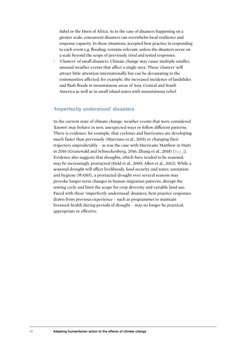Sahel or the Horn of Africa. As in the case of disasters happening on a greater scale, concurrent disasters can overwhelm local resilience and response capacity. In these situations, accepted best practice in responding to each event e.g. flooding, remains relevant, unless the disasters occur on a scale beyond the scope of previously tried and tested responses.

• 'Clusters' of small disasters. Climate change may cause multiple smaller, unusual weather events that affect a single area. These 'clusters' will attract little attention internationally but can be devastating to the communities affected: for example, the increased incidence of landslides and flash floods in mountainous areas of Asia, Central and South America as well as in small island states with mountainous relief.

#### **'Imperfectly understood' disasters**

In the current state of climate change, weather events that were considered 'known' may behave in new, unexpected ways or follow different patterns. There is evidence, for example, that cyclones and hurricanes are developing much faster than previously (Marciano et al., 2015) or changing their trajectory unpredictably – as was the case with Hurricane Matthew in Haiti in 2016 (Grunewald and Schneckenberg, 2016; Zhang et al., 2018) ([Box 1](#page-13-0)). Evidence also suggests that droughts, which have tended to be seasonal, may be increasingly protracted (Held et al., 2005; Allen et al., 2012). While a seasonal drought will affect livelihoods, food security and water, sanitation and hygiene (WASH), a protracted drought over several seasons may provoke longer-term changes in human migration patterns, disrupt the sowing cycle and limit the scope for crop diversity and variable land-use. Faced with these 'imperfectly understood' disasters, best-practice responses drawn from previous experience – such as programmes to maintain livestock health during periods of drought – may no longer be practical, appropriate or effective.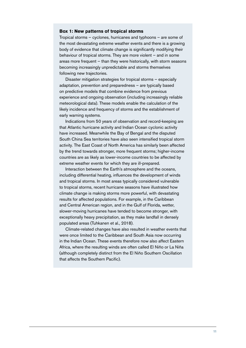#### <span id="page-13-0"></span>**Box 1: New patterns of tropical storms**

Tropical storms – cyclones, hurricanes and typhoons – are some of the most devastating extreme weather events and there is a growing body of evidence that climate change is significantly modifying their behaviour of tropical storms. They are more violent – and in some areas more frequent – than they were historically, with storm seasons becoming increasingly unpredictable and storms themselves following new trajectories.

Disaster mitigation strategies for tropical storms – especially adaptation, prevention and preparedness – are typically based on predictive models that combine evidence from previous experience and ongoing observation (including increasingly reliable meteorological data). These models enable the calculation of the likely incidence and frequency of storms and the establishment of early warning systems.

Indications from 50 years of observation and record-keeping are that Atlantic hurricane activity and Indian Ocean cyclonic activity have increased. Meanwhile the Bay of Bengal and the disputed South China Sea territories have also seen intensified tropical storm activity. The East Coast of North America has similarly been affected by the trend towards stronger, more frequent storms; higher-income countries are as likely as lower-income countries to be affected by extreme weather events for which they are ill-prepared.

Interaction between the Earth's atmosphere and the oceans, including differential heating, influences the development of winds and tropical storms. In most areas typically considered vulnerable to tropical storms, recent hurricane seasons have illustrated how climate change is making storms more powerful, with devastating results for affected populations. For example, in the Caribbean and Central American region, and in the Gulf of Florida, wetter, slower-moving hurricanes have tended to become stronger, with exceptionally heavy precipitation, as they make landfall in densely populated areas (Tuhkanen et al., 2018).

Climate-related changes have also resulted in weather events that were once limited to the Caribbean and South Asia now occurring in the Indian Ocean. These events therefore now also affect Eastern Africa, where the resulting winds are often called El Niño or La Niña (although completely distinct from the El Niño Southern Oscillation that affects the Southern Pacific).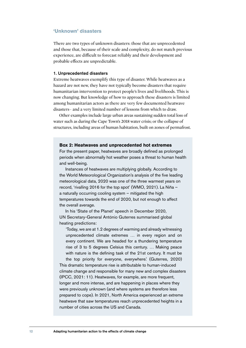#### **'Unknown' disasters**

There are two types of unknown disasters: those that are unprecedented and those that, because of their scale and complexity, do not match previous experience, are difficult to forecast reliably and their development and probable effects are unpredictable.

#### 1. Unprecedented disasters

Extreme heatwaves exemplify this type of disaster. While heatwaves as a hazard are not new, they have not typically become disasters that require humanitarian intervention to protect people's lives and livelihoods. This is now changing. But knowledge of how to approach these disasters is limited among humanitarian actors as there are very few documented heatwave disasters– and a very limited number of lessons from which to draw.

Other examples include large urban areas sustaining sudden total loss of water such as during the Cape Town's 2018 water crisis; or the collapse of structures, including areas of human habitation, built on zones of permafrost.

#### **Box 2: Heatwaves and unprecedented hot extremes**

For the present paper, heatwaves are broadly defined as prolonged periods when abnormally hot weather poses a threat to human health and well-being.

Instances of heatwaves are multiplying globally. According to the World Meteorological Organization's analysis of the five leading meteorological data, 2020 was one of the three warmest years on record, 'rivalling 2016 for the top spot' (WMO, 2021). La Niña a naturally occurring cooling system – mitigated the high temperatures towards the end of 2020, but not enough to affect the overall average.

In his 'State of the Planet' speech in December 2020, UN Secretary-General António Guterres summarised global heating predictions:

'Today, we are at 1.2 degrees of warming and already witnessing unprecedented climate extremes … in every region and on every continent. We are headed for a thundering temperature rise of 3 to 5 degrees Celsius this century. … Making peace with nature is the defining task of the 21st century. It must be the top priority for everyone, everywhere.' (Guterres, 2020)

This dramatic temperature rise is attributable to human-induced climate change and responsible for many new and complex disasters (IPCC, 2021: 11). Heatwaves, for example, are more frequent, longer and more intense, and are happening in places where they were previously unknown (and where systems are therefore less prepared to cope). In 2021, North America experienced an extreme heatwave that saw temperatures reach unprecedented heights in a number of cities across the US and Canada.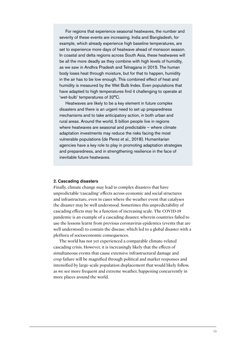For regions that experience seasonal heatwaves, the number and severity of these events are increasing. India and Bangladesh, for example, which already experience high baseline temperatures, are set to experience more days of heatwave ahead of monsoon season. In coastal and delta regions across South Asia, these heatwaves will be all the more deadly as they combine with high levels of humidity, as we saw in Andhra Pradesh and Telnagana in 2015. The human body loses heat through moisture, but for that to happen, humidity in the air has to be low enough. This combined effect of heat and humidity is measured by the Wet Bulb Index. Even populations that have adapted to high temperatures find it challenging to operate at 'wet-bulb' temperatures of 32°C.

Heatwaves are likely to be a key element in future complex disasters and there is an urgent need to set up preparedness mechanisms and to take anticipatory action, in both urban and rural areas. Around the world, 5 billion people live in regions where heatwaves are seasonal and predictable – where climate adaptation investments may reduce the risks facing the most vulnerable populations (de Perez et al., 2018). Humanitarian agencies have a key role to play in promoting adaptation strategies and preparedness, and in strengthening resilience in the face of inevitable future heatwaves.

#### 2. Cascading disasters

Finally, climate change may lead to complex disasters that have unpredictable 'cascading' effects across economic and social structures and infrastructure, even in cases where the weather event that catalyses the disaster may be well understood. Sometimes this unpredictability of cascading effects may be a function of increasing scale. The COVID-19 pandemic is an example of a cascading disaster, wherein countries failed to use the lessons learnt from previous coronavirus epidemics (events that are well understood) to contain the disease, which led to a global disaster with a plethora of socioeconomic consequences.

The world has not yet experienced a comparable climate-related cascading crisis. However, it is increasingly likely that the effects of simultaneous events that cause extensive infrastructural damage and crop failure will be magnified through political and market responses and intensified by large-scale population displacement that would likely follow, as we see more frequent and extreme weather, happening concurrently in more places around the world.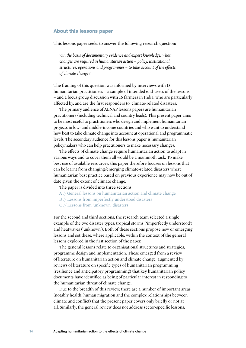#### **About this lessons paper**

This lessons paper seeks to answer the following research question:

*'On the basis of documentary evidence and expert knowledge, what changes are required in humanitarian action – policy, institutional structures, operations and programmes – to take account of the effects of climate change?'*

The framing of this question was informed by interviews with 13 humanitarian practitioners – a sample of intended end-users of the lessons – and a focus group discussion with 16 farmers in India, who are particularly affected by, and are the first responders to, climate-related disasters.

The primary audience of ALNAP lessons papers are humanitarian practitioners (including technical and country leads). This present paper aims to be most useful to practitioners who design and implement humanitarian projects in low- and middle-income countries and who want to understand how best to take climate change into account at operational and programmatic levels. The secondary audience for this lessons paper is humanitarian policymakers who can help practitioners to make necessary changes.

The effects of climate change require humanitarian action to adapt in various ways and to cover them all would be a mammoth task. To make best use of available resources, this paper therefore focuses on lessons that can be learnt from changing/emerging climate-related disasters where humanitarian best practice based on previous experience may now be out of date given the extent of climate change.

The paper is divided into three sections:

- [A // General lessons on humanitarian action and climate change](#page-22-3)
- [B // Lessons from imperfectly understood disasters](#page-39-2)
- [C // Lessons from 'unknown' disasters](#page-50-2)

For the second and third sections, the research team selected a single example of the two disaster types: tropical storms ('imperfectly understood') and heatwaves ('unknown'). Both of these sections propose new or emerging lessons and set these, where applicable, within the context of the general lessons explored in the first section of the paper.

The general lessons relate to organisational structures and strategies, programme design and implementation. These emerged from a review of literature on humanitarian action and climate change, augmented by reviews of literature on specific types of humanitarian programming (resilience and anticipatory programming) that key humanitarian policy documents have identified as being of particular interest in responding to the humanitarian threat of climate change.

Due to the breadth of this review, there are a number of important areas (notably health, human migration and the complex relationships between climate and conflict) that the present paper covers only briefly or not at all. Similarly, the general review does not address sector-specific lessons;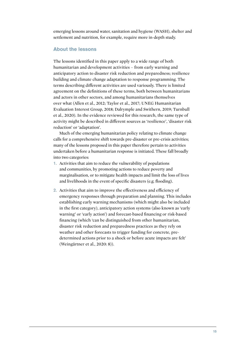emerging lessons around water, sanitation and hygiene (WASH), shelter and settlement and nutrition, for example, require more in-depth study.

#### **About the lessons**

The lessons identified in this paper apply to a wide range of both humanitarian and development activities – from early warning and anticipatory action to disaster risk reduction and preparedness; resilience building and climate change adaptation to response programming. The terms describing different activities are used variously. There is limited agreement on the definitions of these terms, both between humanitarians and actors in other sectors, and among humanitarians themselves over what (Allen et al., 2012; Taylor et al., 2017; UNEG Humanitarian Evaluation Interest Group, 2018; Dalrymple and Swithern, 2019; Turnbull et al., 2020). In the evidence reviewed for this research, the same type of activity might be described in different sources as 'resilience', 'disaster risk reduction' or 'adaptation'.

Much of the emerging humanitarian policy relating to climate change calls for a comprehensive shift towards pre-disaster or pre-crisis activities; many of the lessons proposed in this paper therefore pertain to activities undertaken before a humanitarian response is initiated. These fall broadly into two categories:

- 1. Activities that aim to reduce the vulnerability of populations and communities, by promoting actions to reduce poverty and marginalisation, or to mitigate health impacts and limit the loss of lives and livelihoods in the event of specific disasters (e.g. flooding).
- 2. Activities that aim to improve the effectiveness and efficiency of emergency responses through preparation and planning. This includes establishing early warning mechanisms (which might also be included in the first category), anticipatory action systems (also known as 'early warning' or 'early action') and forecast-based financing or risk-based financing (which 'can be distinguished from other humanitarian, disaster risk reduction and preparedness practices as they rely on weather and other forecasts to trigger funding for concrete, predetermined actions prior to a shock or before acute impacts are felt' (Weingärtner et al., 2020: 8)).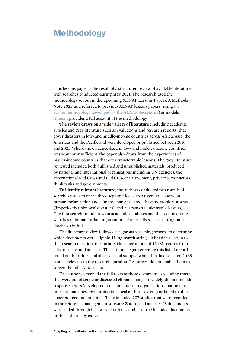### <span id="page-18-0"></span>**Methodology**

This lessons paper is the result of a structured review of available literature, with searches conducted during May 2021. The research used the methodology set out in the upcoming 'ALNAP Lessons Papers: A Methods [Note 2021' and referred to previous ALNAP lessons papers \(using the](https://www.alnap.org/help-library/lessons-papers-a-methods-note
) earlier [methodology developed by the ALNAP Secretariat\)](https://www.alnap.org/help-library/lessons-papers-a-methods-note
) as models. [Annex 1](https://www.alnap.org/node/81999) provides a full account of the methodology.

**The review draws on a wide variety of literature** (including academic articles and grey literature such as evaluations and research reports) that cover disasters in low- and middle-income countries across Africa, Asia, the Americas and the Pacific and were developed or published between 2010 and 2021. Where the evidence-base in low- and middle-income countries was scant or insufficient, the paper also draws from the experiences of higher-income countries that offer transferrable lessons. The grey literature reviewed included both published and unpublished materials, produced by national and international organisations including UN agencies, the International Red Cross and Red Crescent Movement, private sector actors, think tanks and governments.

**To identify relevant literature**, the authors conducted two rounds of searches for each of the three separate focus areas: general lessons on humanitarian action and climate-change related disasters; tropical storms ('imperfectly unknown' disasters); and heatwaves ('unknown' disasters). The first search round drew on academic databases and the second on the websites of humanitarian organisations. [Annex 1](https://www.alnap.org/node/81999) lists search strings and databases in full.

The literature review followed a rigorous screening process to determine which documents were eligible. Using search strings defined in relation to the research question, the authors identified a total of 43,481 records from a list of relevant databases. The authors began screening this list of records based on their titles and abstracts and stopped when they had selected 2,465 studies relevant to the research question. Resources did not enable them to screen the full 43,481 records.

The authors screened the full texts of these documents, excluding those that were out of scope or discussed climate change to widely, did not include response actors (development or humanitarian organisations, national or international ones, civil protection, local authorities, etc.) or failed to offer concrete recommendations. They included 207 studies that were recorded in the reference management software Zotero, and another 28 documents were added through backward citation searches of the included documents or those shared by experts.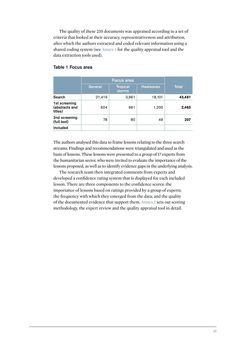The quality of these 235 documents was appraised according to a set of criteria that looked at their accuracy, representativeness and attribution, after which the authors extracted and coded relevant information using a shared coding system (see [Annex 1](https://www.alnap.org/node/81999) for the quality appraisal tool and the data extraction tools used).

|                                            | <b>Focus area</b> |                           |                  |              |
|--------------------------------------------|-------------------|---------------------------|------------------|--------------|
|                                            | <b>General</b>    | <b>Tropical</b><br>storms | <b>Heatwaves</b> | <b>Total</b> |
| Search                                     | 21,419            | 3,961                     | 18,101           | 43,481       |
| 1st screening<br>(abstracts and<br>titles) | 604               | 661                       | 1,200            | 2,465        |
| 2nd screening<br>(full text)               | 78                | 80                        | 49               | 207          |
| <b>Included</b>                            |                   |                           |                  |              |

#### Table 1 Focus area

The authors analysed this data to frame lessons relating to the three search streams. Findings and recommendations were triangulated and used as the basis of lessons. These lessons were presented to a group of 17 experts from the humanitarian sector, who were invited to evaluate the importance of the lessons proposed, as well as to identify evidence gaps in the underlying analysis.

The research team then integrated comments from experts and developed a confidence rating system that is displayed for each included lesson. There are three components to the confidence scores: the importance of lessons based on ratings provided by a group of experts; the frequency with which they emerged from the data; and the quality of the documented evidence that support them. [Annex 1](https://www.alnap.org/node/81999) sets out scoring methodology, the expert review and the quality appraisal tool in detail.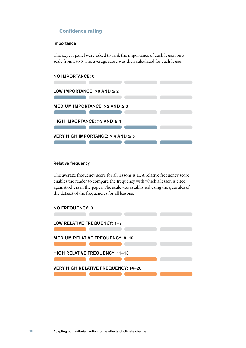#### **Confidence rating**

#### Importance

The expert panel were asked to rank the importance of each lesson on a scale from 1 to 5. The average score was then calculated for each lesson.

#### NO IMPORTANCE: 0



#### Relative frequency

The average frequency score for all lessons is 11. A relative frequency score enables the reader to compare the frequency with which a lesson is cited against others in the paper. The scale was established using the quartiles of the dataset of the frequencies for all lessons.

NO FREQUENCY: 0

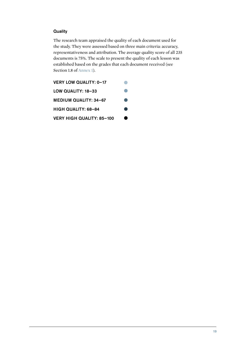#### **Quality**

The research team appraised the quality of each document used for the study. They were assessed based on three main criteria: accuracy, representativeness and attribution. The average quality score of all 235 documents is 75%. The scale to present the quality of each lesson was established based on the grades that each document received (see Section 1.8 of [Annex 1](https://www.alnap.org/node/81999)).

| <b>VERY LOW QUALITY: 0-17</b>    |     |
|----------------------------------|-----|
| LOW QUALITY: 18-33               |     |
| <b>MEDIUM QUALITY: 34-67</b>     | r i |
| HIGH QUALITY: 68-84              | e i |
| <b>VERY HIGH QUALITY: 85-100</b> | ●   |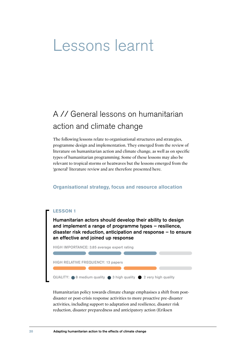## <span id="page-22-0"></span>Lessons learnt

## <span id="page-22-3"></span>A // General lessons on humanitarian action and climate change

The following lessons relate to organisational structures and strategies, programme design and implementation. They emerged from the review of literature on humanitarian action and climate change, as well as on specific types of humanitarian programming. Some of these lessons may also be relevant to tropical storms or heatwaves but the lessons emerged from the 'general' literature review and are therefore presented here.

#### <span id="page-22-1"></span>**Organisational strategy, focus and resource allocation**

#### <span id="page-22-2"></span>**LESSON 1**

Humanitarian actors should develop their ability to design and implement a range of programme types – resilience, disaster risk reduction, anticipation and response – to ensure an effective and joined up response



Humanitarian policy towards climate change emphasises a shift from postdisaster or post-crisis response activities to more proactive pre-disaster activities, including support to adaptation and resilience, disaster risk reduction, disaster preparedness and anticipatory action (Eriksen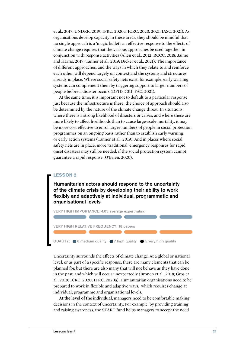<span id="page-23-0"></span>et al., 2017; UNDRR, 2019; IFRC, 2020a; ICRC, 2020, 2021; IASC, 2021). As organisations develop capacity in these areas, they should be mindful that no single approach is a 'magic bullet'; an effective response to the effects of climate change requires that the various approaches be used together, in conjunction with response activities (Allen et al., 2012; RCCC, 2018; Jaime and Harris, 2019; Tanner et al., 2019; Dicker et al., 2021). The importance of different approaches, and the ways in which they relate to and reinforce each other, will depend largely on context and the systems and structures already in place. Where social safety nets exist, for example, early warning systems can complement them by triggering support to larger numbers of people before a disaster occurs (DFID, 2011; FAO, 2021).

At the same time, it is important not to default to a particular response just because the infrastructure is there; the choice of approach should also be determined by the nature of the climate change threat. In situations where there is a strong likelihood of disasters or crises, and where these are more likely to affect livelihoods than to cause large-scale mortality, it may be more cost effective to enrol larger numbers of people in social protection programmes on an ongoing basis rather than to establish early warning or early action systems (Tanner et al., 2019). And in places where social safety nets are in place, more 'traditional' emergency responses for rapid onset disasters may still be needed, if the social protection system cannot guarantee a rapid response (O'Brien, 2020).

#### **LESSON 2**

Humanitarian actors should respond to the uncertainty of the climate crisis by developing their ability to work flexibly and adaptively at individual, programmatic and organisational levels



Uncertainty surrounds the effects of climate change. At a global or national level, or as part of a specific response, there are many elements that can be planned for, but there are also many that will not behave as they have done in the past, and which will occur unexpectedly (Bronen et al., 2018; Gros et al., 2019; ICRC, 2020; IFRC, 2020a). Humanitarian organisations need to be prepared to work in flexible and adaptive ways, which requires change at individual, programme and organisational levels:

**At the level of the individual**, managers need to be comfortable making decisions in the context of uncertainty. For example, by providing training and raising awareness, the START fund helps managers to accept the need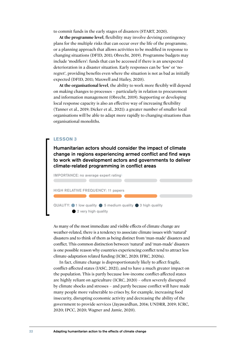<span id="page-24-0"></span>to commit funds in the early stages of disasters (START, 2020).

**At the programme level**, flexibility may involve devising contingency plans for the multiple risks that can occur over the life of the programme, or a planning approach that allows activities to be modified in response to changing situations (DFID, 2011; Obrecht, 2019). Programme budgets may include 'modifiers': funds that can be accessed if there is an unexpected deterioration in a disaster situation. Early responses can be 'low' or 'noregret', providing benefits even where the situation is not as bad as initially expected (DFID, 2011; Maxwell and Hailey, 2020).

**At the organisational level**, the ability to work more flexibly will depend on making changes to processes – particularly in relation to procurement and information management (Obrecht, 2019). Supporting or developing local response capacity is also an effective way of increasing flexibility (Tanner et al., 2019; Dicker et al., 2021): a greater number of smaller local organisations will be able to adapt more rapidly to changing situations than organisational monoliths.

#### **LESSON 3**

Humanitarian actors should consider the impact of climate change in regions experiencing armed conflict and find ways to work with development actors and governments to deliver climate-related programming in conflict areas



As many of the most immediate and visible effects of climate change are weather-related, there is a tendency to associate climate issues with 'natural' disasters and to think of them as being distinct from 'man-made' disasters and conflict. This common distinction between 'natural' and 'man-made' disasters is one possible reason why countries experiencing conflict tend to attract less climate-adaptation related funding (ICRC, 2020; IFRC, 2020a).

In fact, climate change is disproportionately likely to affect fragile, conflict-affected states (IASC, 2021), and to have a much greater impact on the population. This is partly because low-income conflict-affected states are highly reliant on agriculture (ICRC, 2020) – often severely disrupted by climate shocks and stresses – and partly because conflict will have made many people more vulnerable to crises by, for example, increasing food insecurity, disrupting economic activity and decreasing the ability of the government to provide services (Jayawardhan, 2014; UNDRR, 2019; ICRC, 2020; IPCC, 2020; Wagner and Jamie, 2020).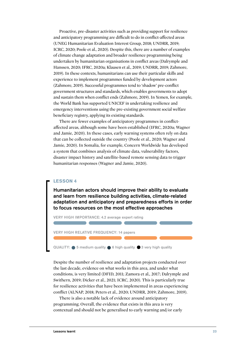<span id="page-25-0"></span>Proactive, pre-disaster activities such as providing support for resilience and anticipatory programming are difficult to do in conflict-affected areas (UNEG Humanitarian Evaluation Interest Group, 2018; UNDRR, 2019; ICRC, 2020; Poole et al., 2020). Despite this, there are a number of examples of climate change adaptation and broader resilience programming being undertaken by humanitarian organisations in conflict areas (Dalrymple and Hanssen, 2020; IFRC, 2020a; Klausen et al., 2019; UNDRR, 2019; Zahmore, 2019). In these contexts, humanitarians can use their particular skills and experience to implement programmes funded by development actors (Zahmore, 2019). Successful programmes tend to 'shadow' pre-conflict government structures and standards, which enables governments to adopt and sustain them when conflict ends (Zahmore, 2019). In Yemen, for example, the World Bank has supported UNICEF in undertaking resilience and emergency interventions using the pre-existing government social welfare beneficiary registry, applying its existing standards.

There are fewer examples of anticipatory programmes in conflictaffected areas, although some have been established (IFRC, 2020a; Wagner and Jamie, 2020). In these cases, early warning systems often rely on data that can be collected outside the country (Poole et al., 2020; Wagner and Jamie, 2020). In Somalia, for example, Concern Worldwide has developed a system that combines analysis of climate data, vulnerability factors, disaster impact history and satellite-based remote sensing data to trigger humanitarian responses (Wagner and Jamie, 2020).

#### **LESSON 4**

Humanitarian actors should improve their ability to evaluate and learn from resilience building activities, climate-related adaptation and anticipatory and preparedness efforts in order to focus resources on the most effective approaches

VERY HIGH IMPORTANCE: 4.2 average expert rating

VERY HIGH RELATIVE FREQUENCY: 14 papers

 $QUALITY: 6$  5 medium quality 6 6 high quality  $6$  3 very high quality

Despite the number of resilience and adaptation projects conducted over the last decade, evidence on what works in this area, and under what conditions, is very limited (DFID, 2011; Zamora et al., 2017; Dalrymple and Swithern, 2019; Dicker et al., 2021; ICRC, 2020). This is particularly true for resilience activities that have been implemented in areas experiencing conflict (ALNAP, 2018; Peters et al., 2020; UNDRR, 2019; Zahmore, 2019).

There is also a notable lack of evidence around anticipatory programming. Overall, the evidence that exists in this area is very contextual and should not be generalised to early warning and/or early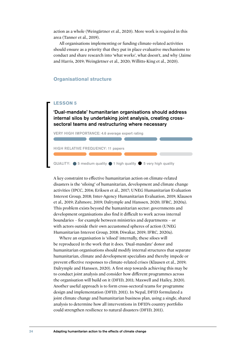<span id="page-26-1"></span>action as a whole (Weingärtner et al., 2020). More work is required in this area (Tanner et al., 2019).

All organisations implementing or funding climate-related activities should ensure as a priority that they put in place evaluative mechanisms to conduct and share research into 'what works', what doesn't, and why (Jaime and Harris, 2019; Weingärtner et al., 2020; Willitts-King et al., 2020).

#### <span id="page-26-0"></span>**Organisational structure**

#### **LESSON 5**

'Dual-mandate' humanitarian organisations should address internal silos by undertaking joint analysis, creating crosssectoral teams and restructuring where necessary

VERY HIGH IMPORTANCE: 4.6 average expert rating

HIGH RELATIVE FREQUENCY: 11 papers QUALITY:  $\bigcirc$  5 medium quality  $\bigcirc$  1 high quality  $\bigcirc$  5 very high quality

A key constraint to effective humanitarian action on climate-related disasters is the 'siloing' of humanitarian, development and climate change activities (IPCC, 2014; Eriksen et al., 2017; UNEG Humanitarian Evaluation Interest Group, 2018; Inter-Agency Humanitarian Evaluation, 2019; Klausen et al., 2019; Zahmore, 2019; Dalrymple and Hanssen, 2020; IFRC, 2020a). This problem exists beyond the humanitarian sector: governments and development organisations also find it difficult to work across internal boundaries – for example between ministries and departments – or with actors outside their own accustomed spheres of action (UNEG Humanitarian Interest Group, 2018; Diwakar, 2019; IFRC, 2020a).

Where an organisation is 'siloed' internally, these siloes will be reproduced in the work that it does. 'Dual-mandate' donor and humanitarian organisations should modify internal structures that separate humanitarian, climate and development specialists and thereby impede or prevent effective responses to climate-related crises (Klausen et al., 2019; Dalrymple and Hanssen, 2020). A first step towards achieving this may be to conduct joint analysis and consider how different programmes across the organisation will build on it (DFID, 2011; Maxwell and Hailey, 2020). Another useful approach is to form cross-sectoral teams for programme design and implementation (DFID, 2011). In Nepal, DFID formulated a joint climate change and humanitarian business plan, using a single, shared analysis to determine how all interventions in DFID's country portfolio could strengthen resilience to natural disasters (DFID, 2011).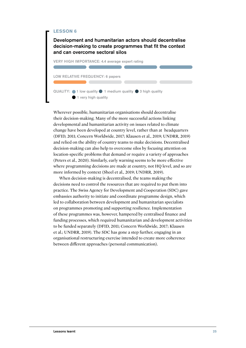#### <span id="page-27-0"></span>**LESSON 6**

Development and humanitarian actors should decentralise decision-making to create programmes that fit the context and can overcome sectoral silos



Wherever possible, humanitarian organisations should decentralise their decision-making. Many of the more successful actions linking developmental and humanitarian activity on issues related to climate change have been developed at country level, rather than at headquarters (DFID, 2011; Concern Worldwide, 2017; Klausen et al., 2019; UNDRR, 2019) and relied on the ability of country teams to make decisions. Decentralised decision-making can also help to overcome silos by focusing attention on location-specific problems that demand or require a variety of approaches (Peters et al., 2020). Similarly, early warning seems to be more effective where programming decisions are made at country, not HQ level, and so are more informed by context (Sheel et al., 2019; UNDRR, 2019).

When decision-making is decentralised, the teams making the decisions need to control the resources that are required to put them into practice. The Swiss Agency for Development and Cooperation (SDC) gave embassies authority to initiate and coordinate programme design, which led to collaboration between development and humanitarian specialists on programmes promoting and supporting resilience. Implementation of these programmes was, however, hampered by centralised finance and funding processes, which required humanitarian and development activities to be funded separately (DFID, 2011; Concern Worldwide, 2017; Klausen et al.; UNDRR, 2019). The SDC has gone a step further, engaging in an organisational restructuring exercise intended to create more coherence between different approaches (personal communication).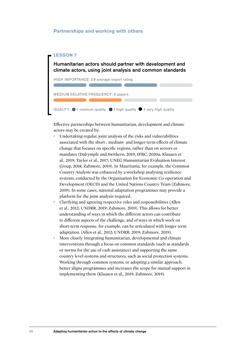#### <span id="page-28-1"></span><span id="page-28-0"></span>**Partnerships and working with others**

#### **LESSON 7**

Humanitarian actors should partner with development and climate actors, using joint analysis and common standards

HIGH IMPORTANCE: 3.8 average expert rating MEDIUM RELATIVE FREQUENCY: 8 papers QUALITY:  $\bigcirc$  1 medium quality  $\bigcirc$  3 high quality  $\bigcirc$  4 very high quality

Effective partnerships between humanitarian, development and climate actors may be created by:

- Undertaking regular, joint analysis of the risks and vulnerabilities associated with the short-, medium- and longer-term effects of climate change that focuses on specific regions, rather than on sectors or mandates (Dalrymple and Swithern, 2019; IFRC, 2020a; Klausen et al., 2019; Taylor et al., 2017; UNEG Humanitarian Evaluation Interest Group, 2018; Zahmore, 2019). In Mauritania, for example, the Common Country Analysis was enhanced by a workshop analysing resilience systems, conducted by the Organisation for Economic Co-operation and Development (OECD) and the United Nations Country Team (Zahmore, 2019). In some cases, national adaptation programmes may provide a platform for the joint analysis required.
- Clarifying and agreeing respective roles and responsibilities (Allen et al., 2012; UNDRR, 2019; Zahmore, 2019). This allows for better understanding of ways in which the different actors can contribute to different aspects of the challenge, and of ways in which work on short-term response, for example, can be articulated with longer term adaptation. (Allen et al., 2012; UNDRR, 2019; Zahmore, 2019).
- More closely integrating humanitarian, developmental and climate interventions through a focus on common standards (such as standards or norms for the use of cash assistance) and supporting the same country level systems and structures, such as social protection systems. Working through common systems, or adopting a similar approach, better aligns programmes and increases the scope for mutual support in implementing them (Klausen et al., 2019; Zahmore, 2019).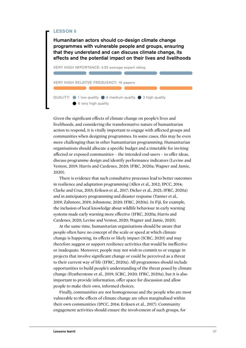#### <span id="page-29-0"></span>**LESSON 8**

Humanitarian actors should co-design climate change programmes with vulnerable people and groups, ensuring that they understand and can discuss climate change, its effects and the potential impact on their lives and livelihoods



Given the significant effects of climate change on people's lives and livelihoods, and considering the transformative nature of humanitarian action to respond, it is vitally important to engage with affected groups and communities when designing programmes. In some cases, this may be even more challenging than in other humanitarian programming. Humanitarian organisations should allocate a specific budget and a timetable for inviting affected or exposed communities – the intended end-users – to offer ideas, discuss programme design and identify performance indicators (Levine and Venton, 2019; Harris and Cardenes, 2020; IFRC, 2020a; Wagner and Jamie, 2020).

There is evidence that such consultative processes lead to better outcomes in resilience and adaptation programming (Allen et al., 2012; IPCC, 2014; Clarke and Cruz, 2015; Eriksen et al., 2017; Dicker et al., 2021; IFRC, 2020a) and in anticipatory programming and disaster response (Tanner et al., 2019; Zahmore, 2019; Johnstone, 2020; IFRC, 2020a). In Fiji, for example, the inclusion of local knowledge about wildlife behaviour in early warning systems made early warning more effective (IFRC, 2020a; Harris and Cardenes, 2020; Levine and Venton, 2020; Wagner and Jamie, 2020).

At the same time, humanitarian organisations should be aware that people often have no concept of the scale or speed at which climate change is happening, its effects or likely impact (ICRC, 2020) and may therefore suggest or support resilience activities that would be ineffective or inadequate. Moreover, people may not wish to commit to or engage in projects that involve significant change or could be perceived as a threat to their current way of life (IFRC, 2020a). All programmes should include opportunities to build people's understanding of the threat posed by climate change (Featherstone et al., 2019; ICRC, 2020; IFRC, 2020a), but it is also important to provide information, offer space for discussion and allow people to make their own, informed choices.

Finally, communities are not homogeneous and the people who are most vulnerable to the effects of climate change are often marginalised within their own communities (IPCC, 2014; Eriksen et al., 2017). Community engagement activities should ensure the involvement of such groups, for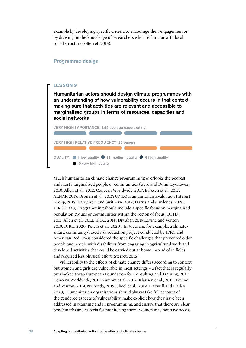<span id="page-30-1"></span>example by developing specific criteria to encourage their engagement or by drawing on the knowledge of researchers who are familiar with local social structures (Sterret, 2015).

#### <span id="page-30-0"></span>**Programme design**

#### **LESSON 9**

Humanitarian actors should design climate programmes with an understanding of how vulnerability occurs in that context, making sure that activities are relevant and accessible to marginalised groups in terms of resources, capacities and social networks



Much humanitarian climate change programming overlooks the poorest and most marginalised people or communities (Gero and Dominey-Howes, 2010; Allen et al., 2012; Concern Worldwide, 2017; Eriksen et al., 2017; ALNAP, 2018; Bronen et al., 2018; UNEG Humanitarian Evaluation Interest Group, 2018; Dalrymple and Swithern, 2019; Harris and Cardenes, 2020; IFRC, 2020). Programming should include a specific focus on marginalised population groups or communities within the region of focus (DFID, 2011; Allen et al., 2012; IPCC, 2014; Diwakar, 2019;Levine and Venton, 2019; ICRC, 2020; Peters et al., 2020). In Vietnam, for example, a climatesmart, community-based risk reduction project conducted by IFRC and American Red Cross considered the specific challenges that prevented older people and people with disabilities from engaging in agricultural work and developed activities that could be carried out at home instead of in fields and required less physical effort (Sterret, 2015).

Vulnerability to the effects of climate change differs according to context, but women and girls are vulnerable in most settings – a fact that is regularly overlooked (Arab European Foundation for Consulting and Training, 2015; Concern Worldwide, 2017; Zamora et al., 2017; Klausen et al., 2019; Levine and Venton, 2019; Nyirenda, 2019; Sheel et al., 2019; Maxwell and Hailey, 2020). Humanitarian organisations should always take full account of the gendered aspects of vulnerability, make explicit how they have been addressed in planning and in programming, and ensure that there are clear benchmarks and criteria for monitoring them. Women may not have access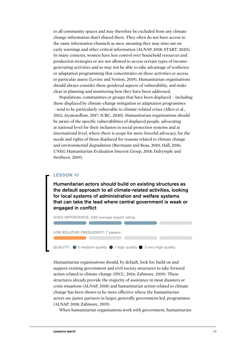<span id="page-31-0"></span>to all community spaces and may therefore be excluded from any climate change information that's shared there. They often do not have access to the same information channels as men, meaning they may miss out on early warnings and other critical information (ALNAP, 2018; START, 2020). In many contexts, women have less control over household resources and production strategies or are not allowed to access certain types of incomegenerating activities and so may not be able to take advantage of resilience or adaptation programming that concentrates on these activities or access to particular assets (Levine and Venton, 2019). Humanitarian organisations should always consider these gendered aspects of vulnerability, and make clear in planning and monitoring how they have been addressed.

Populations, communities or groups that have been displaced – including those displaced by climate-change mitigation or adaptation programmes – tend to be particularly vulnerable to climate-related crises (Allen et al., 2012; Jayawardhan, 2017; ICRC, 2020). Humanitarian organisations should be aware of the specific vulnerabilities of displaced people, advocating at national level for their inclusion in social protection systems and at international level, where there is scope for more forceful advocacy, for the needs and rights of those displaced for reasons related to climate change and environmental degradation (Biermann and Boas, 2010; Hall, 2016; UNEG Humanitarian Evaluation Interest Group, 2018; Dalrymple and Swithern, 2019).

#### **LESSON 10**

Humanitarian actors should build on existing structures as the default approach to all climate-related activities, looking for local systems of administration and welfare systems that can take the lead where central government is weak or engaged in conflict

HIGH IMPORTANCE: 3.85 average expert rating

LOW RELATIVE FREQUENCY: 7 papers

QUALITY:  $\bullet$  3 medium quality  $\bullet$  1 high quality  $\bullet$  3 very high quality

Humanitarian organisations should, by default, look for, build on and support existing government and civil society structures to take forward action related to climate change (IPCC, 2014; Zahmore, 2019). These structures already provide the majority of assistance in most disasters or crisis situations (ALNAP, 2018) and humanitarian action related to climate change has been shown to be more effective where the humanitarian actors are junior partners in larger, generally government-led, programmes (ALNAP, 2018; Zahmore, 2019).

When humanitarian organisations work with government, humanitarian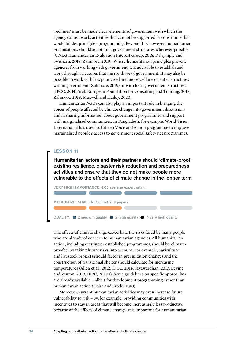<span id="page-32-0"></span>'red lines' must be made clear: elements of government with which the agency cannot work, activities that cannot be supported or constraints that would hinder principled programming. Beyond this, however, humanitarian organisations should adapt to fit government structures wherever possible (UNEG Humanitarian Evaluation Interest Group, 2018; Dalrymple and Swithern, 2019; Zahmore, 2019). Where humanitarian principles prevent agencies from working with government, it is advisable to establish and work through structures that mirror those of government. It may also be possible to work with less politicised and more welfare-oriented structures within government (Zahmore, 2019) or with local government structures (IPCC, 2014; Arab European Foundation for Consulting and Training, 2015; Zahmore, 2019; Maxwell and Hailey, 2020).

Humanitarian NGOs can also play an important role in bringing the voices of people affected by climate change into government discussions and in sharing information about government programmes and support with marginalised communities. In Bangladesh, for example, World Vision International has used its Citizen Voice and Action programme to improve marginalised people's access to government social safety net programmes.

#### **LESSON 11**

Humanitarian actors and their partners should 'climate-proof' existing resilience, disaster risk reduction and preparedness activities and ensure that they do not make people more vulnerable to the effects of climate change in the longer term



MEDIUM RELATIVE FREQUENCY: 8 papers

QUALITY:  $\bullet$  2 medium quality  $\bullet$  2 high quality  $\bullet$  4 very high quality

The effects of climate change exacerbate the risks faced by many people who are already of concern to humanitarian agencies. All humanitarian action, including existing or established programmes, should be 'climateproofed' by taking future risks into account. For example, agriculture and livestock projects should factor in precipitation changes and the construction of transitional shelter should calculate for increasing temperatures (Allen et al., 2012; IPCC, 2014; Jayawardhan, 2017; Levine and Venton, 2019; IFRC, 2020a). Some guidelines on specific approaches are already available – albeit for development programming rather than humanitarian action (Hahn and Fröde, 2010).

Moreover, current humanitarian activities may even increase future vulnerability to risk – by, for example, providing communities with incentives to stay in areas that will become increasingly less productive because of the effects of climate change. It is important for humanitarian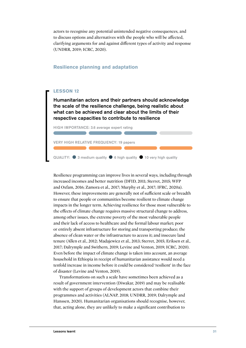<span id="page-33-1"></span>actors to recognise any potential unintended negative consequences, and to discuss options and alternatives with the people who will be affected, clarifying arguments for and against different types of activity and response (UNDRR, 2019; ICRC, 2020).

#### <span id="page-33-0"></span>**Resilience planning and adaptation**

#### **LESSON 12**

Humanitarian actors and their partners should acknowledge the scale of the resilience challenge, being realistic about what can be achieved and clear about the limits of their respective capacities to contribute to resilience



Resilience programming can improve lives in several ways, including through increased incomes and better nutrition (DFID, 2011; Sterret, 2015; WFP and Oxfam, 2016; Zamora et al., 2017; Murphy et al., 2017; IFRC, 2020a). However, these improvements are generally not of sufficient scale or breadth to ensure that people or communities become resilient to climate change impacts in the longer term. Achieving resilience for those most vulnerable to the effects of climate change requires massive structural change to address, among other issues, the extreme poverty of the most vulnerable people and their lack of access to healthcare and the formal labour market; poor or entirely absent infrastructure for storing and transporting produce; the absence of clean water or the infrastructure to access it; and insecure land tenure (Allen et al., 2012; Madajewicz et al., 2013; Sterret, 2015; Eriksen et al., 2017; Dalrymple and Swithern, 2019; Levine and Venton, 2019; ICRC, 2020). Even before the impact of climate change is taken into account, an average household in Ethiopia in receipt of humanitarian assistance would need a tenfold increase in income before it could be considered 'resilient' in the face of disaster (Levine and Venton, 2019).

Transformations on such a scale have sometimes been achieved as a result of government intervention (Diwakar, 2019) and may be realisable with the support of groups of development actors that combine their programmes and activities (ALNAP, 2018; UNDRR, 2019; Dalrymple and Hanssen, 2020). Humanitarian organisations should recognise, however, that, acting alone, they are unlikely to make a significant contribution to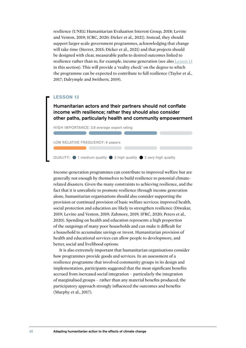<span id="page-34-0"></span>resilience (UNEG Humanitarian Evaluation Interest Group, 2018; Levine and Venton, 2019; ICRC, 2020; Dicker et al., 2021). Instead, they should support larger-scale government programmes, acknowledging that change will take time (Sterret, 2015; Dicker et al., 2021) and that projects should be designed with clear, measurable paths to desired outcomes linked to resilience rather than to, for example, income generation (see also [Lesson 13](#page-34-1) in this section). This will provide a 'reality check' on the degree to which the programme can be expected to contribute to full resilience (Taylor et al., 2017; Dalrymple and Swithern, 2019).

#### <span id="page-34-1"></span>**LESSON 13**

Humanitarian actors and their partners should not conflate income with resilience; rather they should also consider other paths, particularly health and community empowerment



Income-generation programmes can contribute to improved welfare but are generally not enough by themselves to build resilience to potential climaterelated disasters. Given the many constraints to achieving resilience, and the fact that it is unrealistic to promote resilience through income generation alone, humanitarian organisations should also consider supporting the provision or continued provision of basic welfare services: improved health, social protection and education are likely to strengthen resilience (Diwakar, 2019; Levine and Venton, 2019; Zahmore, 2019; IFRC, 2020; Peters et al., 2020). Spending on health and education represents a high proportion of the outgoings of many poor households and can make it difficult for a household to accumulate savings or invest. Humanitarian provision of health and educational services can allow people to developmore, and better, social and livelihood options.

It is also extremely important that humanitarian organisations consider how programmes provide goods and services. In an assessment of a resilience programme that involved community groups in its design and implementation, participants suggested that the most significant benefits accrued from increased social integration – particularly the integration of marginalised groups – rather than any material benefits produced; the participatory approach strongly influenced the outcomes and benefits (Murphy et al., 2017).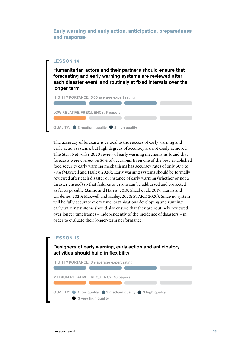<span id="page-35-1"></span><span id="page-35-0"></span>**Early warning and early action, anticipation, preparedness and response**

#### **LESSON 14**

Humanitarian actors and their partners should ensure that forecasting and early warning systems are reviewed after each disaster event, and routinely at fixed intervals over the longer term

HIGH IMPORTANCE: 3.65 average expert rating

LOW RELATIVE FREQUENCY: 6 papers

QUALITY:  $\bullet$  3 medium quality  $\bullet$  3 high quality

The accuracy of forecasts is critical to the success of early warning and early action systems, but high degrees of accuracy are not easily achieved. The Start Network's 2020 review of early warning mechanisms found that forecasts were correct on 36% of occasions. Even one of the best-established food security early warning mechanisms has accuracy rates of only 50% to 78% (Maxwell and Hailey, 2020). Early warning systems should be formally reviewed after each disaster or instance of early warning (whether or not a disaster ensued) so that failures or errors can be addressed and corrected as far as possible (Jaime and Harris, 2019; Sheel et al., 2019; Harris and Cardenes, 2020; Maxwell and Hailey, 2020; START, 2020). Since no system will be fully accurate every time, organisations developing and running early warning systems should also ensure that they are routinely reviewed over longer timeframes – independently of the incidence of disasters – in order to evaluate their longer-term performance.

#### **LESSON 15**

#### Designers of early warning, early action and anticipatory activities should build in flexibility

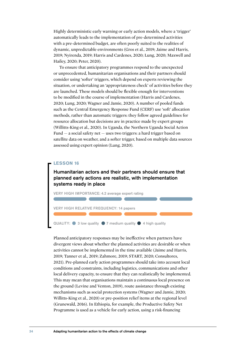Highly deterministic early warning or early action models, where a 'trigger' automatically leads to the implementation of pre-determined activities with a pre-determined budget, are often poorly suited to the realities of dynamic, unpredictable environments (Gros et al., 2019; Jaime and Harris, 2019; Nyirenda, 2019; Harris and Cardenes, 2020; Lung, 2020; Maxwell and Hailey, 2020; Peter, 2020).

To ensure that anticipatory programmes respond to the unexpected or unprecedented, humanitarian organisations and their partners should consider using 'softer' triggers, which depend on experts reviewing the situation, or undertaking an 'appropriateness check' of activities before they are launched. These models should be flexible enough for interventions to be modified in the course of implementation (Harris and Cardenes, 2020; Lung, 2020; Wagner and Jamie, 2020). A number of pooled funds such as the Central Emergency Response Fund (CERF) use 'soft' allocation methods, rather than automatic triggers: they follow agreed guidelines for resource allocation but decisions are in practice made by expert groups (Willitts-King et al., 2020). In Uganda, the Northern Uganda Social Action Fund  $-$  a social safety net  $-$  uses two triggers: a hard trigger based on satellite data on weather, and a softer trigger, based on multiple data sources assessed using expert opinion (Lung, 2020).

#### **LESSON 16**

Humanitarian actors and their partners should ensure that planned early actions are realistic, with implementation systems ready in place



Planned anticipatory responses may be ineffective when partners have divergent views about whether the planned activities are desirable or when activities cannot be implemented in the time available (Jaime and Harris, 2019; Tanner et al., 2019; Zahmore, 2019; START, 2020; Consultores, 2021). Pre-planned early action programmes should take into account local conditions and constraints, including logistics, communications and other local delivery capacity, to ensure that they can realistically be implemented. This may mean that organisations maintain a continuous local presence on the ground (Levine and Venton, 2019), route assistance through existing mechanisms such as social protection systems (Wagner and Jamie, 2020; Willitts-King et al., 2020) or pre-position relief items at the regional level (Grunewald, 2016). In Ethiopia, for example, the Productive Safety Net Programme is used as a vehicle for early action, using a risk-financing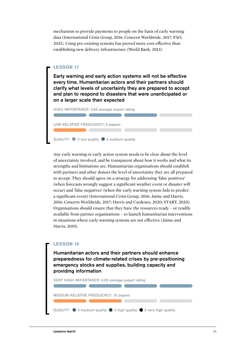mechanism to provide payments to people on the basis of early warning data (International Crisis Group, 2016; Concern Worldwide, 2017; FAO, 2021). Using pre-existing systems has proved more cost-effective than establishing new delivery infrastructure (World Bank, 2013).

#### **LESSON 17**

Early warning and early action systems will not be effective every time. Humanitarian actors and their partners should clarify what levels of uncertainty they are prepared to accept and plan to respond to disasters that were unanticipated or on a larger scale than expected



Any early warning or early action system needs to be clear about the level of uncertainty involved, and be transparent about how it works and what its strengths and limitations are. Humanitarian organisations should establish with partners and other donors the level of uncertainty they are all prepared to accept. They should agree on a strategy for addressing 'false positives' (when forecasts wrongly suggest a significant weather event or disaster will occur) and 'false negatives' (when the early warning system fails to predict a significant event) (International Crisis Group, 2016; Jaime and Harris, 2016; Concern Worldwide, 2017; Harris and Cardenes, 2020; START, 2020). Organisations should ensure that they have the resources ready – or readily available from partner organisations – to launch humanitarian interventions in situations where early warning systems are not effective (Jaime and Harris, 2019).

### **LESSON 18** Humanitarian actors and their partners should enhance preparedness for climate-related crises by pre-positioning emergency stocks and supplies, building capacity and providing information VERY HIGH IMPORTANCE: 4.05 average expert rating MEDIUM RELATIVE FREQUENCY: 10 papers QUALITY:  $\bullet$  2 medium quality  $\bullet$  3 high quality  $\bullet$  5 very high quality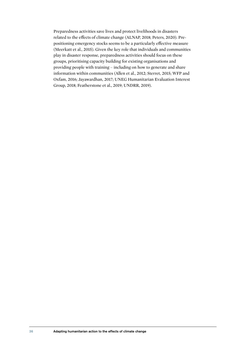Preparedness activities save lives and protect livelihoods in disasters related to the effects of climate change (ALNAP, 2018; Peters, 2020). Prepositioning emergency stocks seems to be a particularly effective measure (Meerkatt et al., 2015). Given the key role that individuals and communities play in disaster response, preparedness activities should focus on these groups, prioritising capacity building for existing organisations and providing people with training – including on how to generate and share information within communities (Allen et al., 2012; Sterret, 2015; WFP and Oxfam, 2016; Jayawardhan, 2017; UNEG Humanitarian Evaluation Interest Group, 2018; Featherstone et al., 2019; UNDRR, 2019).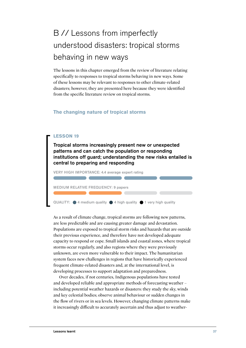## B // Lessons from imperfectly understood disasters: tropical storms behaving in new ways

The lessons in this chapter emerged from the review of literature relating specifically to responses to tropical storms behaving in new ways. Some of these lessons may be relevant to responses to other climate-related disasters; however, they are presented here because they were identified from the specific literature review on tropical storms.

#### **The changing nature of tropical storms**

#### **LESSON 19**

Tropical storms increasingly present new or unexpected patterns and can catch the population or responding institutions off guard; understanding the new risks entailed is central to preparing and responding

VERY HIGH IMPORTANCE: 4.4 average expert rating

MEDIUM RELATIVE FREQUENCY: 9 papers

QUALITY:  $\bigcirc$  4 medium quality  $\bigcirc$  4 high quality  $\bigcirc$  1 very high quality

As a result of climate change, tropical storms are following new patterns, are less predictable and are causing greater damage and devastation. Populations are exposed to tropical storm risks and hazards that are outside their previous experience, and therefore have not developed adequate capacity to respond or cope. Small islands and coastal zones, where tropical storms occur regularly, and also regions where they were previously unknown, are even more vulnerable to their impact. The humanitarian system faces new challenges in regions that have historically experienced frequent climate-related disasters and, at the international level, is developing processes to support adaptation and preparedness.

Over decades, if not centuries, Indigenous populations have tested and developed reliable and appropriate methods of forecasting weather – including potential weather hazards or disasters: they study the sky, winds and key celestial bodies; observe animal behaviour or sudden changes in the flow of rivers or in sea levels. However, changing climate patterns make it increasingly difficult to accurately ascertain and thus adjust to weather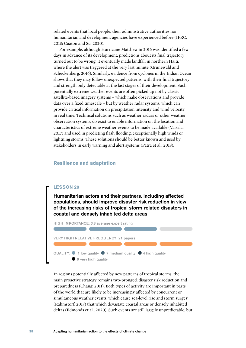related events that local people, their administrative authorities nor humanitarian and development agencies have experienced before (IFRC, 2013; Cuaton and Su, 2020).

For example, although Hurricane Matthew in 2016 was identified a few days in advance of its development, predictions about its final trajectory turned out to be wrong; it eventually made landfall in northern Haiti, where the alert was triggered at the very last minute (Grunewald and Scheckenberg, 2016). Similarly, evidence from cyclones in the Indian Ocean shows that they may follow unexpected patterns, with their final trajectory and strength only detectable at the last stages of their development. Such potentially extreme weather events are often picked up not by classic satellite-based imagery systems – which make observations and provide data over a fixed timescale – but by weather radar systems, which can provide critical information on precipitation intensity and wind velocity in real time. Technical solutions such as weather radars or other weather observation systems, do exist to enable information on the location and characteristics of extreme weather events to be made available (Vaisala, 2017) and used in predicting flash flooding, exceptionally high winds or lightning storms. These solutions should be better known and used by stakeholders in early warning and alert systems (Patra et al., 2013).

#### **Resilience and adaptation**

#### **LESSON 20**

Humanitarian actors and their partners, including affected populations, should improve disaster risk reduction in view of the increasing risks of tropical storm-related disasters in coastal and densely inhabited delta areas



In regions potentially affected by new patterns of tropical storms, the main proactive strategy remains two-pronged: disaster risk reduction and preparedness (Chang, 2011). Both types of activity are important in parts of the world that are likely to be increasingly affected by concurrent or simultaneous weather events, which cause sea-level rise and storm surges' (Rahmstorf, 2017) that which devastate coastal areas or densely inhabited deltas (Edmonds et al., 2020). Such events are still largely unpredictable, but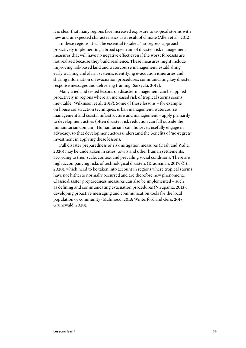it is clear that many regions face increased exposure to tropical storms with new and unexpected characteristics as a result of climate (Allen et al., 2012).

In these regions, it will be essential to take a 'no-regrets' approach, proactively implementing a broad spectrum of disaster risk management measures that will have no negative effect even if the worst forecasts are not realised because they build resilience. These measures might include improving risk-based land and watercourse management, establishing early warning and alarm systems, identifying evacuation itineraries and sharing information on evacuation procedures, communicating key disaster response messages and delivering training (Sarsycki, 2019).

Many tried and tested lessons on disaster management can be applied proactively in regions where an increased risk of tropical storms seems inevitable (Wilkinson et al., 2018). Some of these lessons – for example on house construction techniques, urban management, watercourse management and coastal infrastructure and management – apply primarily to development actors (often disaster risk reduction can fall outside the humanitarian domain). Humanitarians can, however, usefully engage in advocacy, so that development actors understand the benefits of 'no-regrets' investment in applying these lessons.

Full disaster preparedness or risk mitigation measures (Dash and Walia, 2020) may be undertaken in cities, towns and other human settlements, according to their scale, context and prevailing social conditions. There are high accompanying risks of technological disasters (Kraussman, 2017; Örtl, 2020), which need to be taken into account in regions where tropical storms have not hitherto normally occurred and are therefore new phenomena. Classic disaster preparedness measures can also be implemented – such as defining and communicating evacuation procedures (Nirupama, 2013), developing proactive messaging and communication tools for the local population or community (Mahmood, 2013; Winterford and Gero, 2018; Grunewald, 2020).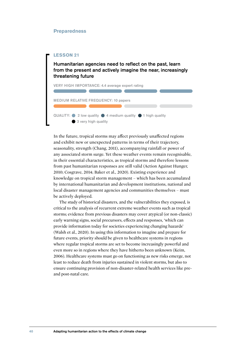#### **Preparedness**

#### **LESSON 21**

Humanitarian agencies need to reflect on the past, learn from the present and actively imagine the near, increasingly threatening future



In the future, tropical storms may affect previously unaffected regions and exhibit new or unexpected patterns in terms of their trajectory, seasonality, strength (Chang, 2011), accompanying rainfall or power of any associated storm surge. Yet these weather events remain recognisable, in their essential characteristics, as tropical storms and therefore lessons from past humanitarian responses are still valid (Action Against Hunger, 2010; Cosgrave, 2014; Baker et al., 2020). Existing experience and knowledge on tropical storm management – which has been accumulated by international humanitarian and development institutions, national and local disaster management agencies and communities themselves – must be actively deployed.

The study of historical disasters, and the vulnerabilities they exposed, is critical to the analysis of recurrent extreme weather events such as tropical storms; evidence from previous disasters may cover atypical (or non-classic) early warning signs, social precursors, effects and responses, 'which can provide information today for societies experiencing changing hazards' (Walsh et al., 2020). In using this information to imagine and prepare for future events, priority should be given to healthcare systems in regions where regular tropical storms are set to become increasingly powerful and even more so in regions where they have hitherto been unknown (Keim, 2006). Healthcare systems must go on functioning as new risks emerge, not least to reduce death from injuries sustained in violent storms, but also to ensure continuing provision of non-disaster-related health services like preand post-natal care.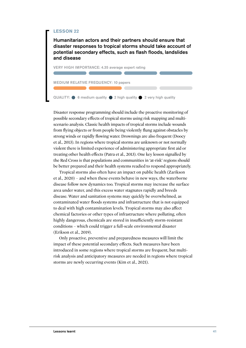Humanitarian actors and their partners should ensure that disaster responses to tropical storms should take account of potential secondary effects, such as flash floods, landslides and disease



Disaster response programming should include the proactive monitoring of possible secondary effects of tropical storms using risk mapping and multiscenario analysis. Classic health impacts of tropical storms include wounds from flying objects or from people being violently flung against obstacles by strong winds or rapidly flowing water. Drownings are also frequent (Doocy et al., 2013). In regions where tropical storms are unknown or not normally violent there is limited experience of administering appropriate first aid or treating other health effects (Patra et al., 2013). One key lesson signalled by the Red Cross is that populations and communities in 'at-risk' regions should be better prepared and their health systems readied to respond appropriately.

Tropical storms also often have an impact on public health (Zarikson et al., 2020) – and when these events behave in new ways, the waterborne disease follow new dynamics too. Tropical storms may increase the surface area under water, and this excess water stagnates rapidly and breeds disease. Water and sanitation systems may quickly be overwhelmed, as contaminated water floods systems and infrastructure that is not equipped to deal with high contamination levels. Tropical storms may also affect chemical factories or other types of infrastructure where polluting, often highly dangerous, chemicals are stored in insufficiently storm-resistant conditions – which could trigger a full-scale environmental disaster (Erikson et al., 2019).

Only proactive, preventive and preparedness measures will limit the impact of these potential secondary effects. Such measures have been introduced in some regions where tropical storms are frequent, but multirisk analysis and anticipatory measures are needed in regions where tropical storms are newly occurring events (Kim et al., 2021).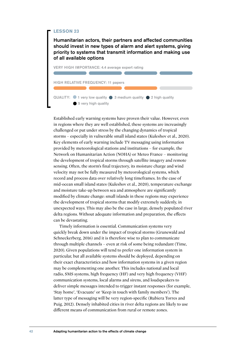Humanitarian actors, their partners and affected communities should invest in new types of alarm and alert systems, giving priority to systems that transmit information and making use of all available options



Established early warning systems have proven their value. However, even in regions where they are well established, these systems are increasingly challenged or put under stress by the changing dynamics of tropical storms – especially in vulnerable small island states (Kuleshov et al., 2020). Key elements of early warning include TV messaging using information provided by meteorological stations and institutions – for example, the Network on Humanitarian Action (NOHA) or Meteo France – monitoring the development of tropical storms through satellite imagery and remote sensing. Often, the storm's final trajectory, its moisture charge and wind velocity may not be fully measured by meteorological systems, which record and process data over relatively long timeframes. In the case of mid-ocean small island states (Kuleshov et al., 2020), temperature exchange and moisture take-up between sea and atmosphere are significantly modified by climate change: small islands in these regions may experience the development of tropical storms that modify extremely suddenly, in unexpected ways. This may also be the case in large, densely populated river delta regions. Without adequate information and preparation, the effects can be devastating.

Timely information is essential. Communication systems very quickly break down under the impact of tropical storms (Grunewald and Schneckerberg, 2016) and it is therefore wise to plan to communicate through multiple channels – even at risk of some being redundant (Time, 2020). Given populations will tend to prefer one information system in particular, but all available systems should be deployed, depending on their exact characteristics and how information systems in a given region may be complementing one another. This includes national and local radio, SMS systems, high frequency (HF) and very high frequency (VHF) communication systems, local alarms and sirens, and loudspeakers to deliver simple messages intended to trigger instant responses (for example, 'Stay home', 'Evacuate' or 'Keep in touch with family members'). The latter type of messaging will be very region-specific (Rubiera Torres and Puig, 2012). Densely inhabited cities in river delta regions are likely to use different means of communication from rural or remote zones.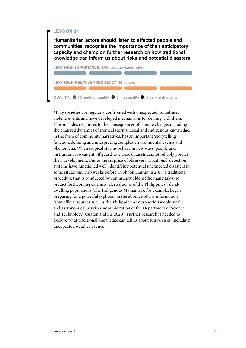Humanitarian actors should listen to affected people and communities, recognise the importance of their anticipatory capacity and champion further research on how traditional knowledge can inform us about risks and potential disasters



Many societies are regularly confronted with unexpected, sometimes violent, events and have developed mechanisms for dealing with them. This includes responses to the consequences of climate change, including the changed dynamics of tropical storms. Local and Indigenous knowledge, in the form of community narratives, has an important 'storytelling' function, defining and interpreting complex environmental events and phenomena. When tropical storms behave in new ways, people and institutions are caught off guard, as classic datasets cannot reliably predict their development. But to the surprise of observers, traditional 'detection' systems have functioned well, identifying potential unexpected disasters in some situations. Two weeks before Typhoon Haiyan in 2013, a traditional procedure that is conducted by community elders (the mangitalos) to predict forthcoming calamity, alerted some of the Philippines' islanddwelling populations. The Indigenous Mamanwas, for example, began preparing for a powerful typhoon, in the absence of any information from official sources such as the Philippine Atmospheric, Geophysical and Astronomical Services Administration of the Department of Science and Technology (Cuaton and Su, 2020). Further research is needed to explore what traditional knowledge can tell us about future risks, including unexpected weather events.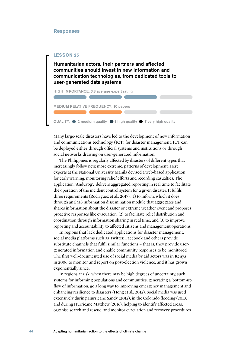#### **Responses**



Many large-scale disasters have led to the development of new information and communications technology (ICT) for disaster management. ICT can be deployed either through official systems and institutions or through social networks drawing on user-generated information.

The Philippines is regularly affected by disasters of different types that increasingly follow new, more extreme, patterns of development. Here, experts at the National University Manila devised a web-based application for early warning, monitoring relief efforts and recording casualties. The application, 'Anduyog', delivers aggregated reporting in real time to facilitate the operation of the incident control system for a given disaster. It fulfils three requirements (Rodriguez et al., 2017): (1) to inform, which it does through an SMS information dissemination module that aggregates and shares information about the disaster or extreme weather event and proposes proactive responses like evacuation; (2) to facilitate relief distribution and coordination through information sharing in real time; and (3) to improve reporting and accountability to affected citizens and management operations.

In regions that lack dedicated applications for disaster management, social media platforms such as Twitter, Facebook and others provide substitute channels that fulfil similar functions – that is, they provide usergenerated information and enable community responses to be monitored. The first well-documented use of social media by aid actors was in Kenya in 2006 to monitor and report on post-election violence, and it has grown exponentially since.

In regions at risk, when there may be high degrees of uncertainty, such systems for informing populations and communities, generating a 'bottom-up' flow of information, go a long way to improving emergency management and enhancing resilience to disasters (Hong et al., 2012). Social media was used extensively during Hurricane Sandy (2012), in the Colorado flooding (2013) and during Hurricane Matthew (2016), helping to identify affected areas, organise search and rescue, and monitor evacuation and recovery procedures.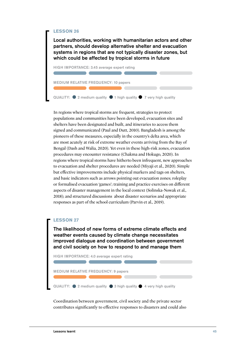Local authorities, working with humanitarian actors and other partners, should develop alternative shelter and evacuation systems in regions that are not typically disaster zones, but which could be affected by tropical storms in future



In regions where tropical storms are frequent, strategies to protect populations and communities have been developed, evacuation sites and shelters have been designated and built, and itineraries to access them signed and communicated (Paul and Dutt, 2010). Bangladesh is among the pioneers of these measures, especially in the country's delta area, which are most acutely at risk of extreme weather events arriving from the Bay of Bengal (Dash and Walia, 2020). Yet even in these high-risk zones, evacuation procedures may encounter resistance (Chakma and Hokugo, 2020). In regions where tropical storms have hitherto been infrequent, new approaches to evacuation and shelter procedures are needed (Miyaji et al., 2020). Simple but effective improvements include physical markers and tags on shelters, and basic indicators such as arrows pointing out evacuation zones; roleplay or formalised evacuation 'games'; training and practice exercises on different aspects of disaster management in the local context (Solinska-Nowak et al., 2018); and structured discussions about disaster scenarios and appropriate responses as part of the school curriculum (Parvin et al., 2019).

#### **LESSON 27**

The likelihood of new forms of extreme climate effects and weather events caused by climate change necessitates improved dialogue and coordination between government and civil society on how to respond to and manage them



Coordination between government, civil society and the private sector contributes significantly to effective responses to disasters and could also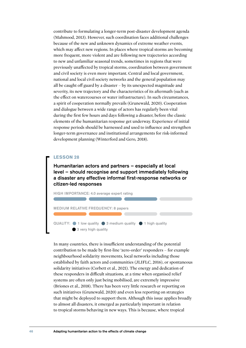contribute to formulating a longer-term post-disaster development agenda (Mahmood, 2013). However, such coordination faces additional challenges because of the new and unknown dynamics of extreme weather events, which may affect new regions. In places where tropical storms are becoming more frequent, more violent and are following new trajectories according to new and unfamiliar seasonal trends, sometimes in regions that were previously unaffected by tropical storms, coordination between government and civil society is even more important. Central and local government, national and local civil society networks and the general population may all be caught off guard by a disaster – by its unexpected magnitude and severity, its new trajectory and the characteristics of its aftermath (such as the effect on watercourses or water infrastructure). In such circumstances, a spirit of cooperation normally prevails (Grunewald, 2020). Cooperation and dialogue between a wide range of actors has regularly been vital during the first few hours and days following a disaster, before the classic elements of the humanitarian response get underway. Experience of initial response periods should be harnessed and used to influence and strengthen longer-term governance and institutional arrangements for risk-informed development planning (Winterford and Gero, 2018).

#### **LESSON 28**

Humanitarian actors and partners – especially at local level – should recognise and support immediately following a disaster any effective informal first-response networks or citizen-led responses



In many countries, there is insufficient understanding of the potential contribution to be made by first-line 'zero-order' responders – for example neighbourhood solidarity movements, local networks including those established by faith actors and communities (JLIFLC, 2016), or spontaneous solidarity initiatives (Corbett et al., 2021). The energy and dedication of these responders in difficult situations, at a time when organised relief systems are often only just being mobilised, are extremely impressive (Briones et al., 2018). There has been very little research or reporting on such initiatives (Grunewald, 2020) and even less reporting on strategies that might be deployed to support them. Although this issue applies broadly to almost all disasters, it emerged as particularly important in relation to tropical storms behaving in new ways. This is because, where tropical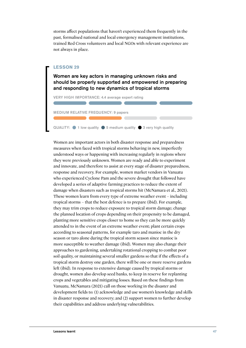storms affect populations that haven't experienced them frequently in the past, formalised national and local emergency management institutions, trained Red Cross volunteers and local NGOs with relevant experience are not always in place.

#### **LESSON 29**

Women are key actors in managing unknown risks and should be properly supported and empowered in preparing and responding to new dynamics of tropical storms

VERY HIGH IMPORTANCE: 4.4 average expert rating

REQUENCY: 9 papers

QUALITY:  $\bigcirc$  1 low quality  $\bigcirc$  5 medium quality  $\bigcirc$  3 very high quality

Women are important actors in both disaster response and preparedness measures when faced with tropical storms behaving in new, imperfectly understood ways or happening with increasing regularly in regions where they were previously unknown. Women are ready and able to experiment and innovate, and therefore to assist at every stage of disaster preparedness, response and recovery. For example, women market vendors in Vanuatu who experienced Cyclone Pam and the severe drought that followed have developed a series of adaptive farming practices to reduce the extent of damage when disasters such as tropical storms hit (McNamara et al., 2021). These women learn from every type of extreme weather event – including tropical storms – that the best defence is to prepare (ibid). For example, they may trim crops to reduce exposure to tropical storm damage; change the planned location of crops depending on their propensity to be damaged, planting more sensitive crops closer to home so they can be more quickly attended to in the event of an extreme weather event; plant certain crops according to seasonal patterns, for example taro and manioc in the dry season or taro alone during the tropical storm season since manioc is more susceptible to weather damage (ibid). Women may also change their approaches to gardening, undertaking rotational cropping to combat poor soil quality, or maintaining several smaller gardens so that if the effects of a tropical storm destroy one garden, there will be one or more reserve gardens left (ibid). In response to extensive damage caused by tropical storms or drought, women also develop seed banks, to keep in reserve for replanting crops and vegetables and mitigating losses. Based on these findings from Vanuatu, McNamara (2021) call on those working in the disaster and development fields to: (1) acknowledge and use women's knowledge and skills in disaster response and recovery; and (2) support women to further develop their capabilities and address underlying vulnerabilities.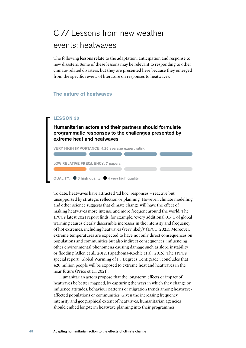### C // Lessons from new weather events: heatwaves

The following lessons relate to the adaptation, anticipation and response to new disasters. Some of these lessons may be relevant to responding to other climate-related disasters, but they are presented here because they emerged from the specific review of literature on responses to heatwaves.

#### **The nature of heatwaves**

#### **LESSON 30**

Humanitarian actors and their partners should formulate programmatic responses to the challenges presented by extreme heat and heatwaves

the contract of the contract of the con-

VERY HIGH IMPORTANCE: 4.25 average expert rating

LOW RELATIVE FREQUENCY: 7 papers

QUALITY:  $\bullet$  3 high quality  $\bullet$  4 very high quality

To date, heatwaves have attracted 'ad hoc' responses – reactive but unsupported by strategic reflection or planning. However, climate modelling and other science suggests that climate change will have the effect of making heatwaves more intense and more frequent around the world. The IPCC's latest 2021 report finds, for example, 'every additional 0.5°C of global warming causes clearly discernible increases in the intensity and frequency of hot extremes, including heatwaves (very likely)' (IPCC, 2021). Moreover, extreme temperatures are expected to have not only direct consequences on populations and communities but also indirect consequences, influencing other environmental phenomena causing damage such as slope instability or flooding (Allen et al., 2012; Papathoma-Koehle et al., 2016). The IPPC's special report, 'Global Warming of 1.5 Degrees Centigrade', concludes that 420 million people will be exposed to extreme heat and heatwaves in the near future (Price et al., 2021).

Humanitarian actors propose that the long-term effects or impact of heatwaves be better mapped, by capturing the ways in which they change or influence attitudes, behaviour patterns or migration trends among heatwaveaffected populations or communities. Given the increasing frequency, intensity and geographical extent of heatwaves, humanitarian agencies should embed long-term heatwave planning into their programmes.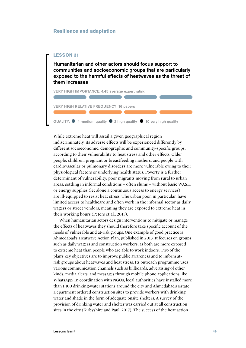#### **Resilience and adaptation**

#### **LESSON 31**

Humanitarian and other actors should focus support to communities and socioeconomic groups that are particularly exposed to the harmful effects of heatwaves as the threat of them increases

VERY HIGH IMPORTANCE: 4.45 average expert rating

VERY HIGH RELATIVE FREQUENCY: 16 papers

QUALITY:  $\bullet$  4 medium quality  $\bullet$  2 high quality  $\bullet$  10 very high quality

While extreme heat will assail a given geographical region indiscriminately, its adverse effects will be experienced differently by different socioeconomic, demographic and community-specific groups, according to their vulnerability to heat stress and other effects. Older people, children, pregnant or breastfeeding mothers, and people with cardiovascular or pulmonary disorders are more vulnerable owing to their physiological factors or underlying health status. Poverty is a further determinant of vulnerability: poor migrants moving from rural to urban areas, settling in informal conditions – often slums – without basic WASH or energy supplies (let alone a continuous access to energy services) are ill-equipped to resist heat stress. The urban poor, in particular, have limited access to healthcare and often work in the informal sector as daily wagers or street vendors, meaning they are exposed to extreme heat in their working hours (Peters et al., 2015).

When humanitarian actors design interventions to mitigate or manage the effects of heatwaves they should therefore take specific account of the needs of vulnerable and at-risk groups. One example of good practice is Ahmedabad's Heatwave Action Plan, published in 2013. It focuses on groups such as daily wagers and construction workers, as both are more exposed to extreme heat than people who are able to work indoors. Two of the plan's key objectives are to improve public awareness and to inform atrisk groups about heatwaves and heat stress. Its outreach programme uses various communication channels such as billboards, advertising of other kinds, media alerts, and messages through mobile phone applications like WhatsApp. In coordination with NGOs, local authorities have installed more than 1,100 drinking-water stations around the city and Ahmedabad's Estate Department ordered construction sites to provide workers with drinking water and shade in the form of adequate onsite shelters. A survey of the provision of drinking water and shelter was carried out at all construction sites in the city (Kirbyshire and Paul, 2017). The success of the heat action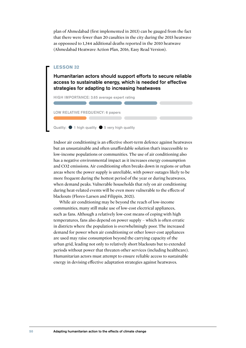plan of Ahmedabad (first implemented in 2013) can be gauged from the fact that there were fewer than 20 casulties in the city during the 2015 heatwave as opposssed to 1,344 additional deaths reported in the 2010 heatwave (Ahmedabad Heatwave Action Plan, 2016, Easy Read Version).

#### **LESSON 32**

Humanitarian actors should support efforts to secure reliable access to sustainable energy, which is needed for effective strategies for adapting to increasing heatwaves

HIGH IMPORTANCE: 3.65 average expert rating

LOW RELATIVE FREQUENCY: 6 papers

Quality:  $\bigcirc$  1 high quality  $\bigcirc$  5 very high quality

Indoor air conditioning is an effective short-term defence against heatwaves but an unsustainable and often unaffordable solution that's inaccessible to low-income populations or communities. The use of air conditioning also has a negative environmental impact as it increases energy consumption and CO2 emissions. Air conditioning often breaks down in regions or urban areas where the power supply is unreliable, with power outages likely to be more frequent during the hottest period of the year or during heatwaves, when demand peaks. Vulnerable households that rely on air conditioning during heat-related events will be even more vulnerable to the effects of blackouts (Flores-Larsen and Filippin, 2021).

While air conditioning may be beyond the reach of low-income communities, many still make use of low-cost electrical appliances, such as fans. Although a relatively low-cost means of coping with high temperatures, fans also depend on power supply – which is often erratic in districts where the population is overwhelmingly poor. The increased demand for power when air conditioning or other lower-cost appliances are used may raise consumption beyond the carrying capacity of the urban grid, leading not only to relatively short blackouts but to extended periods without power that threaten other services (including healthcare). Humanitarian actors must attempt to ensure reliable access to sustainable energy in devising effective adaptation strategies against heatwaves.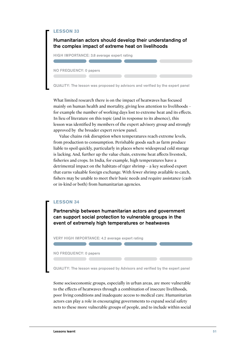Humanitarian actors should develop their understanding of the complex impact of extreme heat on livelihoods HIGH IMPORTANCE: 3.8 average expert rating NO FREQUENCY: 0 papers

QUALITY: The lesson was proposed by advisors and verified by the expert panel

What limited research there is on the impact of heatwaves has focused mainly on human health and mortality, giving less attention to livelihoods – for example the number of working days lost to extreme heat and its effects. In lieu of literature on this topic (and in response to its absence), this lesson was identified by members of the expert advisory group and strongly approved by the broader expert review panel.

Value chains risk disruption when temperatures reach extreme levels, from production to consumption. Perishable goods such as farm produce liable to spoil quickly, particularly in places where widespread cold storage is lacking. And, further up the value chain, extreme heat affects livestock, fisheries and crops. In India, for example, high temperatures have a detrimental impact on the habitats of tiger shrimp – a key seafood export that earns valuable foreign exchange. With fewer shrimp available to catch, fishers may be unable to meet their basic needs and require assistance (cash or in-kind or both) from humanitarian agencies.

#### **LESSON 34**

Partnership between humanitarian actors and government can support social protection to vulnerable groups in the event of extremely high temperatures or heatwaves

VERY HIGH IMPORTANCE: 4.2 average expert rating

NO FREQUENCY: 0 papers

QUALITY: The lesson was proposed by Advisors and verified by the expert panel

Some socioeconomic groups, especially in urban areas, are more vulnerable to the effects of heatwaves through a combination of insecure livelihoods, poor living conditions and inadequate access to medical care. Humanitarian actors can play a role in encouraging governments to expand social safety nets to these more vulnerable groups of people, and to include within social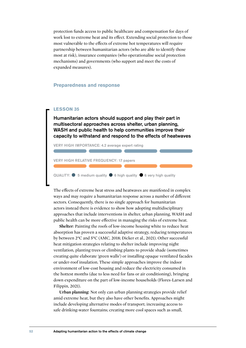protection funds access to public healthcare and compensation for days of work lost to extreme heat and its effect. Extending social protection to those most vulnerable to the effects of extreme hot temperatures will require partnership between humanitarian actors (who are able to identify those most at risk), insurance companies (who operationalise social protection mechanisms) and governments (who support and meet the costs of expanded measures).

#### **Preparedness and response**

#### **LESSON 35**

Humanitarian actors should support and play their part in multisectoral approaches across shelter, urban planning, WASH and public health to help communities improve their capacity to withstand and respond to the effects of heatwaves

VERY HIGH IMPORTANCE: 4.2 average expert rating

VERY HIGH RELATIVE FREQUENCY: 17 papers

QUALITY:  $\bullet$  5 medium quality  $\bullet$  6 high quality  $\bullet$  6 very high quality

The effects of extreme heat stress and heatwaves are manifested in complex ways and may require a humanitarian response across a number of different sectors. Consequently, there is no single approach for humanitarian actors instead there is evidence to show how adopting multidisciplinary approaches that include interventions in shelter, urban planning, WASH and public health can be more effective in managing the risks of extreme heat.

**Shelter**: Painting the roofs of low-income housing white to reduce heat absorption has proven a successful adaptive strategy, reducing temperatures by between 2°C and 5°C (AMC, 2018; Dicker et al., 2021). Other successful heat mitigation strategies relating to shelter include improving night ventilation, planting trees or climbing plants to provide shade (sometimes creating quite elaborate 'green walls') or installing opaque ventilated facades or under-roof insulation. These simple approaches improve the indoor environment of low-cost housing and reduce the electricity consumed in the hottest months (due to less need for fans or air conditioning), bringing down expenditure on the part of low-income households (Flores-Larsen and Filippin, 2021).

**Urban planning**: Not only can urban planning strategies provide relief amid extreme heat, but they also have other benefits. Approaches might include developing alternative modes of transport; increasing access to safe drinking-water fountains; creating more cool spaces such as small,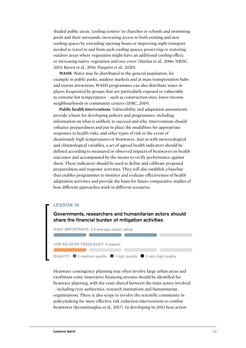shaded public areas, 'cooling centres' in churches or schools and swimming pools and their surrounds; increasing access to both existing and new cooling spaces by extending opening hours or improving night transport needed to travel to and from such cooling spaces; preserving or restoring outdoor areas where vegetation might have an additional cooling effect; or increasing native vegetation and tree cover (Harlan et al., 2006; NRDC, 2013; Raven et al., 2016; Pasquini et al., 2020).

**WASH**: Water may be distributed to the general population, for example in public parks, outdoor markets and at mass transportation hubs and tourist attractions. WASH programmes can also distribute water in places frequented by groups that are particularly exposed or vulnerable to extreme hot temperatures – such as construction sites, lower-income neighbourhoods or community centres (IFRC, 2019).

**Public health interventions**: Vulnerability and adaptation assessments provide a basis for developing policies and programmes, including information on what is unlikely to succeed and why. Interventions should enhance preparedness and put in place the modalities for appropriate responses to health risks, and other types of risk in the event of disastrously high temperatures or heatwaves. Just as with meteorological and climatological variables, a set of agreed health indicators should be defined according to measured or observed impacts of heatwaves on health outcomes and accompanied by the means to verify performance against them. These indicators should be used to define and calibrate proposed preparedness and response activities. They will also establish a baseline that enables programmes to monitor and evaluate effectiveness of health adaptation activities and provide the basis for future comparative studies of how different approaches work in different scenarios.

#### **LESSON 36**

#### Governments, researchers and humanitarian actors should share the financial burden of mitigation activities



Heatwave contingency planning may often involve large urban areas and exorbitant costs. Innovative financing streams should be identified for heatwave planning, with the costs shared between the main actors involved – including civic authorities, research institutions and humanitarian organisations. There is also scope to involve the scientific community in policymaking for more effective risk reduction interventions to combat heatwaves (Keramitsoglou et al., 2017). In developing its 2013 heat action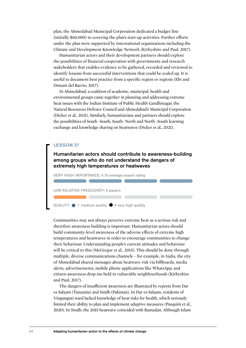plan, the Ahmedabad Municipal Corporation dedicated a budget line (initially \$60,000) to covering the plan's start-up activities. Further efforts under the plan were supported by international organisations including the Climate and Development Knowledge Network (Kirbyshire and Paul, 2017).

Humanitarian actors and their development partners should explore the possibilities of financial cooperation with governments and research stakeholders that enables evidence to be gathered, recorded and reviewed to identify lessons from successful interventions that could be scaled up. It is useful to document best practice from a specific region or regions (Ebi and Otmani del Barrio, 2017).

In Ahmedabad, a coalition of academic, municipal, health and environmental groups came together in planning and addressing extreme heat issues with the Indian Institute of Public Health Gandhinagar, the Natural Resources Defence Council and Ahmedabad's Municipal Corporation (Dicker et al., 2021). Similarly, humanitarians and partners should explore the possibilities of South–South, South–North and North–South learning exchange and knowledge sharing on heatwaves (Dicker et al., 2021).

#### **LESSON 37**

Humanitarian actors should contribute to awareness-building among groups who do not understand the dangers of extremely high temperatures or heatwaves

VERY HIGH IMPORTANCE: 4.15 average expert rating

LOW RELATIVE FREQUENCY: 5 papers



Communities may not always perceive extreme heat as a serious risk and therefore awareness building is important. Humanitarian actors should build community-level awareness of the adverse effects of extreme high temperatures and heatwaves in order to encourage communities to change their behaviour. Understanding people's current attitudes and behaviour will be critical to this (McGregor et al., 2015). This should be done through multiple, diverse communications channels – for example, in India, the city of Ahmedabad shared messages about heatwave risk via billboards, media alerts, advertisements, mobile phone applications like WhatsApp, and citizen-awareness drop-ins held in vulnerable neighbourhoods (Kirbyshire and Paul, 2017).

The dangers of insufficient awareness are illustrated by reports from Dar es Salaam (Tanzania) and Sindh (Pakistan). In Dar es Salaam, residents of Vingunguti ward lacked knowledge of heat risks for health, which seriously limited their ability to plan and implement adaptive measures (Pasquini et al., 2020). In Sindh, the 2015 heatwave coincided with Ramadan. Although Islam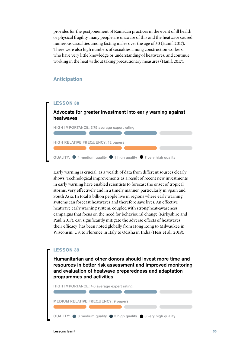provides for the postponement of Ramadan practices in the event of ill health or physical fragility, many people are unaware of this and the heatwave caused numerous casualties among fasting males over the age of 50 (Hanif, 2017). There were also high numbers of casualties among construction workers, who have very little knowledge or understanding of heatwaves, and continue working in the heat without taking precautionary measures (Hanif, 2017).

#### **Anticipation**

#### **LESSON 38**

#### Advocate for greater investment into early warning against heatwaves



Early warning is crucial, as a wealth of data from different sources clearly shows. Technological improvements as a result of recent new investments in early warning have enabled scientists to forecast the onset of tropical storms, very effectively and in a timely manner, particularly in Spain and South Asia. In total 5 billion people live in regions where early warning systems can forecast heatwaves and therefore save lives. An effective heatwave early warning system, coupled with strong heat-awareness campaigns that focus on the need for behavioural change (Kirbyshire and Paul, 2017), can significantly mitigate the adverse effects of heatwaves; their efficacy has been noted globally from Hong Kong to Milwaukee in Wisconsin, US, to Florence in Italy to Odisha in India (Hess et al., 2018).

#### **LESSON 39**

Humanitarian and other donors should invest more time and resources in better risk assessment and improved monitoring and evaluation of heatwave preparedness and adaptation programmes and activities

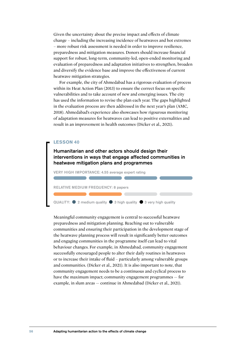Given the uncertainty about the precise impact and effects of climate change – including the increasing incidence of heatwaves and hot extremes – more robust risk assessment is needed in order to improve resilience, preparedness and mitigation measures. Donors should increase financial support for robust, long-term, community-led, open-ended monitoring and evaluation of preparedness and adaptation initiatives to strengthen, broaden and diversify the evidence base and improve the effectiveness of current heatwave mitigation strategies.

For example, the city of Ahmedabad has a rigorous evaluation of process within its Heat Action Plan (2013) to ensure the correct focus on specific vulnerabilities and to take account of new and emerging issues. The city has used the information to revise the plan each year. The gaps highlighted in the evaluation process are then addressed in the next year's plan (AMC, 2018). Ahmedabad's experience also showcases how rigourous monitoring of adaptation measures for heatwaves can lead to positive externalities and result in an improvement in health outcomes (Dicker et al., 2021).

#### **LESSON 40**

Humanitarian and other actors should design their interventions in ways that engage affected communities in heatwave mitigation plans and programmes

VERY HIGH IMPORTANCE: 4.55 average expert rating

RELATIVE MEDIUM FREQUENCY: 8 papers

QUALITY:  $\bullet$  2 medium quality  $\bullet$  3 high quality  $\bullet$  3 very high quality

Meaningful community engagement is central to successful heatwave preparedness and mitigation planning. Reaching out to vulnerable communities and ensuring their participation in the development stage of the heatwave planning process will result in significantly better outcomes and engaging communities in the programme itself can lead to vital behaviour changes. For example, in Ahmedabad, community engagement successfully encouraged people to alter their daily routines in heatwaves or to increase their intake of fluid – particularly among vulnerable groups and communities. (Dicker et al., 2021). It is also important to note, that community engagement needs to be a continuous and cyclical process to have the maximum impact; community engagement programmes — for example, in slum areas — continue in Ahmedabad (Dicker et al., 2021).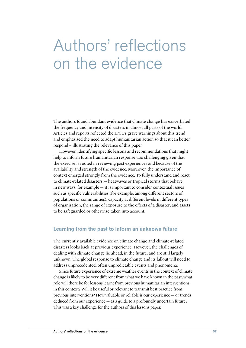## Authors' reflections on the evidence

The authors found abundant evidence that climate change has exacerbated the frequency and intensity of disasters in almost all parts of the world. Articles and reports reflected the IPCC's grave warnings about this trend and emphasised the need to adapt humanitarian action so that it can better respond – illustrating the relevance of this paper.

However, identifying specific lessons and recommendations that might help to inform future humanitarian response was challenging given that the exercise is rooted in reviewing past experiences and because of the availability and strength of the evidence. Moreover, the importance of context emerged strongly from the evidence. To fully understand and react to climate-related disasters — heatwaves or tropical storms that behave in new ways, for example — it is important to consider contextual issues such as specific vulnerabilities (for example, among different sectors of populations or communities); capacity at different levels in different types of organisation; the range of exposure to the effects of a disaster; and assets to be safeguarded or otherwise taken into account.

#### **Learning from the past to inform an unknown future**

The currently available evidence on climate change and climate-related disasters looks back at previous experience. However, the challenges of dealing with climate change lie ahead, in the future, and are still largely unknown. The global response to climate change and its fallout will need to address unprecedented, often unpredictable events and phenomena.

Since future experience of extreme weather events in the context of climate change is likely to be very different from what we have known in the past, what role will there be for lessons learnt from previous humanitarian interventions in this context? Will it be useful or relevant to transmit best practice from previous interventions? How valuable or reliable is our experience — or trends deduced from our experience — as a guide to a profoundly uncertain future? This was a key challenge for the authors of this lessons paper.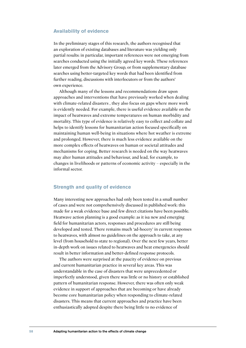#### **Availability of evidence**

In the preliminary stages of this research, the authors recognised that an exploration of existing databases and literature was yielding only partial results: in particular, important references were not emerging from searches conducted using the initially agreed key words. These references later emerged from the Advisory Group, or from supplementary database searches using better-targeted key words that had been identified from further reading, discussions with interlocutors or from the authors' own experience.

Although many of the lessons and recommendations draw upon approaches and interventions that have previously worked when dealing with climate-related disasters , they also focus on gaps where more work is evidently needed. For example, there is useful evidence available on the impact of heatwaves and extreme temperatures on human morbidity and mortality. This type of evidence is relatively easy to collect and collate and helps to identify lessons for humanitarian action focused specifically on maintaining human well-being in situations where hot weather is extreme and prolonged. However, there is much less evidence available on the more complex effects of heatwaves on human or societal attitudes and mechanisms for coping. Better research is needed on the way heatwaves may alter human attitudes and behaviour, and lead, for example, to changes in livelihoods or patterns of economic activity – especially in the informal sector.

#### **Strength and quality of evidence**

Many interesting new approaches had only been tested in a small number of cases and were not comprehensively discussed in published work: this made for a weak evidence base and few direct citations have been possible. Heatwave action planning is a good example: as it isa new and emerging field for humanitarian actors, responses and procedures are still being developed and tested. There remains much 'ad-hocery' in current responses to heatwaves, with almost no guidelines on the approach to take, at any level (from household to state to regional). Over the next few years, better in-depth work on issues related to heatwaves and heat emergencies should result in better information and better-defined response protocols.

The authors were surprised at the paucity of evidence on previous and current humanitarian practice in several key areas. This was understandable in the case of disasters that were unprecedented or imperfectly understood, given there was little or no history or established pattern of humanitarian response. However, there was often only weak evidence in support of approaches that are becoming or have already become core humanitarian policy when responding to climate-related disasters. This means that current approaches and practice have been enthusiastically adopted despite there being little to no evidence of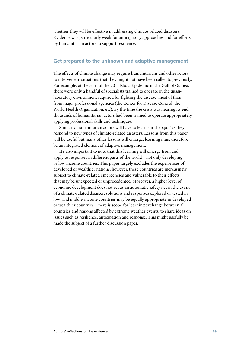whether they will be effective in addressing climate-related disasters. Evidence was particularly weak for anticipatory approaches and for efforts by humanitarian actors to support resilience.

#### **Get prepared to the unknown and adaptive management**

The effects of climate change may require humanitarians and other actors to intervene in situations that they might not have been called to previously. For example, at the start of the 2014 Ebola Epidemic in the Gulf of Guinea, there were only a handful of specialists trained to operate in the quasilaboratory environment required for fighting the disease, most of them from major professional agencies (the Center for Disease Control, the World Health Organization, etc). By the time the crisis was nearing its end, thousands of humanitarian actors had been trained to operate appropriately, applying professional skills and techniques.

Similarly, humanitarian actors will have to learn 'on-the-spot' as they respond to new types of climate-related disasters. Lessons from this paper will be useful but many other lessons will emerge; learning must therefore be an integrated element of adaptive management.

It's also important to note that this learning will emerge from and apply to responses in different parts of the world – not only developing or low-income countries. This paper largely excludes the experiences of developed or wealthier nations; however, these countries are increasingly subject to climate-related emergencies and vulnerable to their effects that may be unexpected or unprecedented. Moreover, a higher level of economic development does not act as an automatic safety net in the event of a climate-related disaster; solutions and responses explored or tested in low- and middle-income countries may be equally appropriate in developed or wealthier countries. There is scope for learning exchange between all countries and regions affected by extreme weather events, to share ideas on issues such as resilience, anticipation and response. This might usefully be made the subject of a further discussion paper.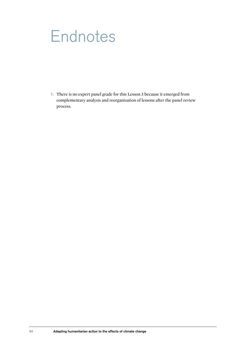## **Endnotes**

1. There is no expert panel grade for this Lesson 3 because it emerged from complementary analysis and reorganisation of lessons after the panel review process.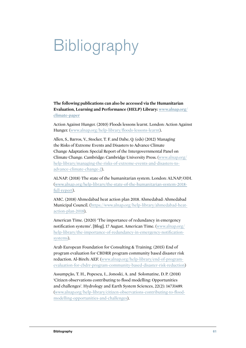# Bibliography

**The following publications can also be accessed via the Humanitarian Evaluation, Learning and Performance (HELP) Library: [www.alnap.org/](https://alnap.org/help-library?int[]=36904) [climate-paper](https://alnap.org/help-library?int[]=36904)**

Action Against Hunger. (2010) Floods lessons learnt. London: Action Against Hunger. (www.alnap.org/help-library/floods-lessons-learnt).

Allen, S., Barros, V., Stocker, T. F. and Dahe, Q. (eds) (2012) Managing the Risks of Extreme Events and Disasters to Advance Climate Change Adaptation: Special Report of the Intergovernmental Panel on Climate Change. Cambridge: Cambridge University Press. (www.alnap.org/ help-library/managing-the-risks-of-extreme-events-and-disasters-toadvance-climate-change-2).

ALNAP. (2018) The state of the humanitarian system. London: ALNAP/ODI. (www.alnap.org/help-library/the-state-of-the-humanitarian-system-2018 full-report).

AMC. (2018) Ahmedabad heat action plan 2018. Ahmedabad: Ahmedabad Municipal Council. (https://www.alnap.org/help-library/ahmedabad-heataction-plan-2018).

American Time. (2020) 'The importance of redundancy in emergency notification systems'. [Blog]. 17 August. American Time. (www.alnap.org/ help-library/the-importance-of-redundancy-in-emergency-notificationsystems).

Arab European Foundation for Consulting & Training. (2015) End of program evaluation for CBDRR program community based disaster risk reduction. Al-Bireh: AEF. (www.alnap.org/help-library/end-of-programevaluation-for-cbdrr-program-community-based-disaster-risk-reduction)

Assumpção, T. H., Popescu, I., Jonoski, A. and Solomatine, D. P. (2018) 'Citizen observations contributing to flood modelling: Opportunities and challenges'. Hydrology and Earth System Sciences, 22(2): 14731489. (www.alnap.org/help-library/citizen-observations-contributing-to-floodmodelling-opportunities-and-challenges).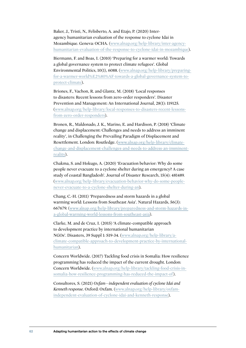Baker, J., Tristi, N., Felisberto, A. and Etajo, P. (2020) Interagency humanitarian evaluation of the response to cyclone Idai in Mozambique. Geneva: OCHA. (www.alnap.org/help-library/inter-agencyhumanitarian-evaluation-of-the-response-to-cyclone-idai-in-mozambique).

Biermann, F. and Boas, I. (2010) 'Preparing for a warmer world: Towards a global governance system to protect climate refugees'. Global Environmental Politics, 10(1), 6088. (www.alnap.org/help-library/preparingfor-a-warmer-world%E2%80%AF-towards-a-global-governance-system-toprotect-climate).

Briones, F., Vachon, R. and Glantz, M. (2018) 'Local responses to disasters: Recent lessons from zero-order responders'. Disaster Prevention and Management: An International Journal, 28(1): 119125. (www.alnap.org/help-library/local-responses-to-disasters-recent-lessonsfrom-zero-order-responders).

Bronen, R., Maldonado, J. K., Marino, E. and Hardison, P. (2018) 'Climate change and displacement: Challenges and needs to address an imminent reality', in Challenging the Prevailing Paradigm of Displacement and Resettlement. London: Routledge. (www.alnap.org/help-library/climatechange-and-displacement-challenges-and-needs-to-address-an-imminentreality).

Chakma, S. and Hokugo, A. (2020) 'Evacuation behavior: Why do some people never evacuate to a cyclone shelter during an emergency? A case study of coastal Bangladesh'. Journal of Disaster Research, 15(4): 481489. (www.alnap.org/help-library/evacuation-behavior-why-do-some-peoplenever-evacuate-to-a-cyclone-shelter-during-an).

Chang, C.-H. (2011) 'Preparedness and storm hazards in a global warming world: Lessons from Southeast Asia'. Natural Hazards, 56(3): 667679. (www.alnap.org/help-library/preparedness-and-storm-hazards-ina-global-warming-world-lessons-from-southeast-asia).

Clarke, M. and de Cruz, I. (2015) 'A climate-compatible approach to development practice by international humanitarian NGOs'. Disasters, 39 Suppl 1: S19-34. (www.alnap.org/help-library/aclimate-compatible-approach-to-development-practice-by-internationalhumanitarian).

Concern Worldwide. (2017) Tackling food crisis in Somalia: How resilience programming has reduced the impact of the current drought. London: Concern Worldwide. (www.alnap.org/help-library/tackling-food-crisis-insomalia-how-resilience-programming-has-reduced-the-impact-of).

Consultores, S. (2021) *Oxfam—independent evaluation of cyclone Idai and Kenneth response*. Oxford: Oxfam. (www.alnap.org/help-library/oxfamindependent-evaluation-of-cyclone-idai-and-kenneth-response).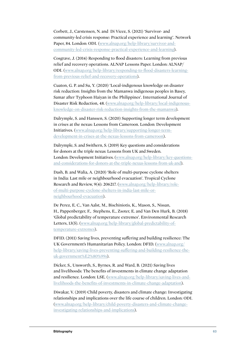Corbett, J., Carstensen, N. and Di Vicez, S. (2021) 'Survivor- and community-led crisis response: Practical experience and learning'. Network Paper, 84. London: ODI. (www.alnap.org/help-library/survivor-andcommunity-led-crisis-response-practical-experience-and-learning).

Cosgrave, J. (2014) Responding to flood disasters: Learning from previous relief and recovery operations. ALNAP Lessons Paper. London: ALNAP/ ODI. (www.alnap.org/help-library/responding-to-flood-disasters-learningfrom-previous-relief-and-recovery-operations).

Cuaton, G. P. and Su, Y. (2020) 'Local-indigenous knowledge on disaster risk reduction: Insights from the Mamanwa indigenous peoples in Basey, Samar after Typhoon Haiyan in the Philippines'. International Journal of Disaster Risk Reduction, 48. (www.alnap.org/help-library/local-indigenousknowledge-on-disaster-risk-reduction-insights-from-the-mamanwa).

Dalrymple, S. and Hanssen, S. (2020) Supporting longer term development in crises at the nexus: Lessons from Cameroon. London: Development Initiatives. (www.alnap.org/help-library/supporting-longer-termdevelopment-in-crises-at-the-nexus-lessons-from-cameroon).

Dalrymple, S. and Swithern, S. (2019) Key questions and considerations for donors at the triple nexus: Lessons from UK and Sweden. London: Development Initiatives. (www.alnap.org/help-library/key-questionsand-considerations-for-donors-at-the-triple-nexus-lessons-from-uk-and).

Dash, B. and Walia, A. (2020) 'Role of multi-purpose cyclone shelters in India: Last mile or neighbourhood evacuation'. Tropical Cyclone Research and Review, 9(4): 206217. (www.alnap.org/help-library/roleof-multi-purpose-cyclone-shelters-in-india-last-mile-orneighbourhood-evacuation).

De Perez, E. C., Van Aalst, M., Bischiniotis, K., Mason, S., Nissan, H., Pappenberger, F., Stephens, E., Zsoter, E. and Van Den Hurk, B. (2018) 'Global predictability of temperature extremes'. Environmental Research Letters, 13(5). (www.alnap.org/help-library/global-predictability-oftemperature-extremes).

DFID. (2011) Saving lives, preventing suffering and building resilience: The UK Government's Humanitarian Policy. London: DFID. (www.alnap.org/ help-library/saving-lives-preventing-suffering-and-building-resilience-theuk-government%E2%80%99s).

Dicker, S., Unsworth, S., Byrnes, R. and Ward, B. (2021) Saving lives and livelihoods: The benefits of investments in climate change adaptation and resilience. London: LSE. (www.alnap.org/help-library/saving-lives-andlivelihoods-the-benefits-of-investments-in-climate-change-adaptation).

Diwakar, V. (2019) Child poverty, disasters and climate change: Investigating relationships and implications over the life course of children. London: ODI. (www.alnap.org/help-library/child-poverty-disasters-and-climate-changeinvestigating-relationships-and-implications).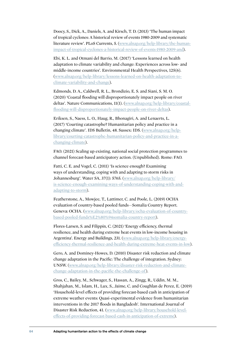Doocy, S., Dick, A., Daniels, A. and Kirsch, T. D. (2013) 'The human impact of tropical cyclones: A historical review of events 1980-2009 and systematic literature review'. PLoS Currents, 5. (www.alnap.org/help-library/the-humanimpact-of-tropical-cyclones-a-historical-review-of-events-1980-2009-and).

Ebi, K. L. and Otmani del Barrio, M. (2017) 'Lessons learned on health adaptation to climate variability and change: Experiences across low- and middle-income countries'. Environmental Health Perspectives, 125(6). (www.alnap.org/help-library/lessons-learned-on-health-adaptation-toclimate-variability-and-change).

Edmonds, D. A., Caldwell, R. L., Brondizio, E. S. and Siani, S. M. O. (2020) 'Coastal flooding will disproportionately impact people on river deltas'. Nature Communications, 11(1). (www.alnap.org/help-library/coastalflooding-will-disproportionately-impact-people-on-river-deltas).

Eriksen, S., Naess, L. O., Haug, R., Bhonagiri, A. and Lenaerts, L. (2017) 'Courting catastrophe? Humanitarian policy and practice in a changing climate'. IDS Bulletin, 48. Sussex: IDS. (www.alnap.org/helplibrary/courting-catastrophe-humanitarian-policy-and-practice-in-achanging-climate).

FAO. (2021) Scaling up existing, national social protection programmes to channel forecast-based anticipatory action. (Unpublished). Rome: FAO.

Fatti, C. E. and Vogel, C. (2011) 'Is science enough? Examining ways of understanding, coping with and adapting to storm risks in Johannesburg'. Water SA, 37(1): 5765. (www.alnap.org/help-library/ is-science-enough-examining-ways-of-understanding-coping-with-andadapting-to-storm).

Featherstone, A., Mowjee, T., Lattimer, C. and Poole, L. (2019) OCHA evaluation of country-based pooled funds—Somalia Country Report. Geneva: OCHA. (www.alnap.org/help-library/ocha-evaluation-of-countrybased-pooled-funds%E2%80%94somalia-country-report).

Flores-Larsen, S. and Filippín, C. (2021) 'Energy efficiency, thermal resilience, and health during extreme heat events in low-income housing in Argentina'. Energy and Buildings, 231. (www.alnap.org/help-library/energyefficiency-thermal-resilience-and-health-during-extreme-heat-events-in-low).

Gero, A. and Dominey-Howes, D. (2010) Disaster risk reduction and climate change adaptation in the Pacific: The challenge of integration. Sydney: UNSW. (www.alnap.org/help-library/disaster-risk-reduction-and-climatechange-adaptation-in-the-pacific-the-challenge-of).

Gros, C., Bailey, M., Schwager, S., Hassan, A., Zingg, R., Uddin, M. M., Shahjahan, M., Islam, H., Lux, S., Jaime, C. and Coughlan de Perez, E. (2019) 'Household-level effects of providing forecast-based cash in anticipation of extreme weather events: Quasi-experimental evidence from humanitarian interventions in the 2017 floods in Bangladesh'. International Journal of Disaster Risk Reduction, 41. (www.alnap.org/help-library/household-leveleffects-of-providing-forecast-based-cash-in-anticipation-of-extreme).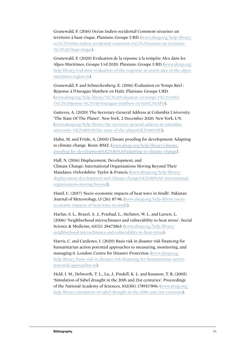Grunewald, F. (2016) Océan Indien occidental Comment sécuriser un territoire à haut risque. Plaisians: Groupe URD. (www.alnap.org/help-library/ oc%C3%A9an-indien-occidental-comment-s%C3%A9curiser-un-territoire- %C3%A0-haut-risque).

Grunewald, F. (2020) Evaluation de la réponse à la tempête Alex dans les Alpes-Maritimes, Groupe Urd 2020. Plaisians: Groupe URD. (www.alnap.org/ help-library/real-time-evaluation-of-the-response-to-storm-alex-in-the-alpesmaritimes-region-in).

Grunewald, F. and Schneckenberg, E. (2016) Évaluation en Temps Réel : Réponse à l'Ouragan Matthew en Haïti. Plaisians: Groupe URD. (www.alnap.org/help-library/%C3%A9valuation-en-temps-r%C3%A9elr%C3%A9ponse-%C3%A0-louragan-matthew-en-ha%C3%AFti).

Gutteres, A. (2020) The Secretary-General Address at Columbia University: 'The State Of The Planet'. New York, 2 December 2020. New York: UN. (www.alnap.org/help-library/the-secretary-general-address-at-columbiauniversity-%E2%80%9Cthe-state-of-the-planet%E2%80%9D).

Hahn, M. and Fröde, A. (2010) Climate proofing for development: Adapting to climate change. Bonn: BMZ. (www.alnap.org/help-library/climateproofing-for-development%E2%80%AFadapting-to-climate-change).

Hall, N. (2016) Displacement, Development, and Climate Change: International Organizations Moving Beyond Their Mandates. Oxfordshire: Taylor & Francis. (www.alnap.org/help-library/ displacement-development-and-climate-change%E2%80%AF-internationalorganizations-moving-beyond).

Hanif, U. (2017) 'Socio-economic impacts of heat wave in Sindh'. Pakistan Journal of Meteorology, 13 (26): 87-96. (www.alnap.org/help-library/socioeconomic-impacts-of-heat-wave-in-sindh).

Harlan, S. L., Brazel, A. J., Prashad, L., Stefanov, W. L. and Larsen, L. (2006) 'Neighborhood microclimates and vulnerability to heat stress'. Social Science & Medicine, 63(11): 28472863. (www.alnap.org/help-library/ neighborhood-microclimates-and-vulnerability-to-heat-stress).

Harris, C. and Cardenes, I. (2020) Basis risk in disaster risk financing for humanitarian action potential approaches to measuring, monitoring, and managing it. London: Centre for Disaster Protection. (www.alnap.org/ help-library/basis-risk-in-disaster-risk-financing-for-humanitarian-actionpotential-approaches-to).

Held, I. M., Delworth, T. L., Lu, J., Findell, K. L. and Knutson, T. R. (2005) 'Simulation of Sahel drought in the 20th and 21st centuries'. Proceedings of the National Academy of Sciences, 102(50): 1789117896. (www.alnap.org/ help-library/simulation-of-sahel-drought-in-the-20th-and-21st-centuries).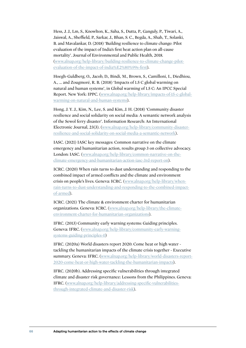Hess, J. J., Lm, S., Knowlton, K., Saha, S., Dutta, P., Ganguly, P., Tiwari, A., Jaiswal, A., Sheffield, P., Sarkar, J., Bhan, S. C., Begda, A., Shah, T., Solanki, B. and Mavalankar, D. (2018) 'Building resilience to climate change: Pilot evaluation of the impact of India's first heat action plan on all-cause mortality'. Journal of Environmental and Public Health, 2018. (www.alnap.org/help-library/building-resilience-to-climate-change-pilotevaluation-of-the-impact-of-india%E2%80%99s-first).

Hoegh-Guldberg, O., Jacob, D., Bindi, M., Brown, S., Camilloni, I., Diedhiou, A., ... and Zougmoré, R. B. (2018) 'Impacts of 1.5 C global warming on natural and human systems', in Global warming of 1.5 C: An IPCC Special Report. New York: IPPC. (www.alnap.org/help-library/impacts-of-15-c-globalwarming-on-natural-and-human-systems).

Hong, J. Y. J., Kim, N., Lee, S. and Kim, J. H. (2018) 'Community disaster resilience and social solidarity on social media: A semantic network analysis of the Sewol ferry disaster'. Information Research: An International Electronic Journal, 23(3). (www.alnap.org/help-library/community-disasterresilience-and-social-solidarity-on-social-media-a-semantic-network).

IASC. (2021) IASC key messages: Common narrative on the climate emergency and humanitarian action, results group 3 on collective advocacy. London: IASC. (www.alnap.org/help-library/common-narrative-on-theclimate-emergency-and-humanitarian-action-iasc-3rd-report-on).

ICRC. (2020) When rain turns to dust understanding and responding to the combined impact of armed conflicts and the climate and environment crisis on people's lives. Geneva: ICRC. (www.alnap.org/help-library/whenrain-turns-to-dust-understanding-and-responding-to-the-combined-impactof-armed).

ICRC. (2021) The climate & environment charter for humanitarian organizations. Geneva: ICRC. (www.alnap.org/help-library/the-climateenvironment-charter-for-humanitarian-organizations).

IFRC. (2013) Community early warning systems: Guiding principles. Geneva: IFRC. (www.alnap.org/help-library/community-early-warningsystems-guiding-principles-0)

IFRC. (2020a) World disasters report 2020: Come heat or high water tackling the humanitarian impacts of the climate crisis together - Executive summary. Geneva: IFRC. (www.alnap.org/help-library/world-disasters-report-2020-come-heat-or-high-water-tackling-the-humanitarian-impacts).

IFRC. (2020b). Addressing specific vulnerabilities through integrated climate and disaster risk governance: Lessons from the Philippines. Geneva: IFRC. (www.alnap.org/help-library/addressing-specific-vulnerabilitiesthrough-integrated-climate-and-disaster-risk).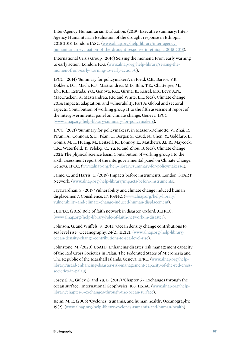Inter-Agency Humanitarian Evaluation. (2019) Executive summary: Inter-Agency Humanitarian Evaluation of the drought response in Ethiopia 2015-2018. London: IASC. (www.alnap.org/help-library/inter-agencyhumanitarian-evaluation-of-the-drought-response-in-ethiopia-2015-2018).

International Crisis Group. (2016) Seizing the moment: From early warning to early action. London: ICG. (www.alnap.org/help-library/seizing-themoment-from-early-warning-to-early-action-0).

IPCC. (2014) 'Summary for policymakers', in Field, C.B., Barros, V.R, Dokken, D.J., Mach, K.J., Mastrandrea, M.D., Bilir, T.E., Chatterjee, M., Ebi, K.L., Estrada, Y.O., Genova, R.C., Girma, B., Kissel, E.S., Levy, A.N., MacCracken, S., Mastrandrea, P.R. and White, L.L. (eds), Climate change 2014: Impacts, adaptation, and vulnerability. Part A: Global and sectoral aspects. Contribution of working group II to the fifth assessment report of the intergovernmental panel on climate change. Geneva: IPCC. (www.alnap.org/help-library/summary-for-policymakers).

IPCC. (2021) 'Summary for policymakers', in Masson-Delmotte, V., Zhai, P., Pirani, A., Connors, S. L., Péan, C., Berger, S., Caud, N., Chen, Y., Goldfarb, L., Gomis, M. I., Huang, M., Leitzell, K., Lonnoy, E., Matthews, J.B.R., Maycock, T.K., Waterfield, T., Yelekçi, O., Yu, R. and Zhou, B. (eds), Climate change 2021: The physical science basis. Contribution of working group I to the sixth assessment report of the intergovernmental panel on Climate Change. Geneva: IPCC. (www.alnap.org/help-library/summary-for-policymakers-1).

Jaime, C. and Harris, C. (2019) Impacts before instruments. London: START Network. (www.alnap.org/help-library/impacts-before-instruments).

Jayawardhan, S. (2017 'Vulnerability and climate change induced human displacement'. Consilience, 17: 103142. (www.alnap.org/help-library/ vulnerability-and-climate-change-induced-human-displacement).

JLIFLC. (2016) Role of faith network in disaster. Oxford: JLIFLC. (www.alnap.org/help-library/role-of-faith-network-in-disaster).

Johnson, G. and Wijffels, S. (2011) 'Ocean density change contributions to sea level rise'. Oceanography, 24(2): 112121. (www.alnap.org/help-library/ ocean-density-change-contributions-to-sea-level-rise).

Johnstone, M. (2020) USAID: Enhancing disaster risk management capacity of the Red Cross Societies in Palau, The Federated States of Micronesia and The Republic of the Marshall Islands. Geneva: IFRC. (www.alnap.org/helplibrary/usaid-enhancing-disaster-risk-management-capacity-of-the-red-crosssocieties-in-palau).

Josey, S. A., Gulev, S. and Yu, L. (2013) 'Chapter 5 - Exchanges through the ocean surface'. International Geophysics, 103: 115140. (www.alnap.org/helplibrary/chapter-5-exchanges-through-the-ocean-surface).

Keim, M. E. (2006) 'Cyclones, tsunamis, and human health'. Oceanography, 19(2). (www.alnap.org/help-library/cyclones-tsunamis-and-human-health).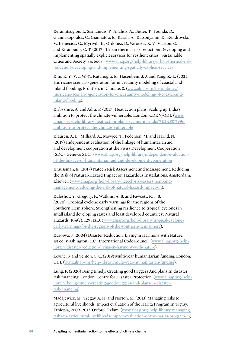Keramitsoglou, I., Sismanidis, P., Analitis, A., Butler, T., Founda, D., Giannakopoulos, C., Giannatou, E., Karali, A., Katsouyanni, K., Kendrovski, V., Lemesios, G., Myrivili, E., Ordoñez, D., Varotsos, K. V., Vlastou, G. and Kiranoudis, C. T. (2017) 'Urban thermal risk reduction: Developing and implementing spatially explicit services for resilient cities'. Sustainable Cities and Society, 34: 5668. (www.alnap.org/help-library/urban-thermal-riskreduction-developing-and-implementing-spatially-explicit-services).

Kim, K. Y., Wu, W.-Y., Kutanoglu, E., Hasenbein, J. J. and Yang, Z.-L. (2021) Hurricane scenario generation for uncertainty modeling of coastal and inland flooding. Frontiers in Climate, 0. (www.alnap.org/help-library/ hurricane-scenario-generation-for-uncertainty-modeling-of-coastal-andinland-flooding).

Kirbyshire, A. and Aditi, P. (2017) Heat action plans: Scaling up India's ambition to protect the climate-vulnerable. London: CDKN/ODI. (www. alnap.org/help-library/heat-action-plans-scaling-up-india%E2%80%99sambition-to-protect-the-climate-vulnerable).

Klausen, A. L., Milliard, A., Mowjee, T., Pedersen, M. and Harild, N. (2019) Independent evaluation of the linkage of humanitarian aid and development cooperation at the Swiss Development Cooperation (SDC). Geneva: SDC. (www.alnap.org/help-library/independent-evaluationof-the-linkage-of-humanitarian-aid-and-development-cooperation)

Kraussman, E. (2017) Natech Risk Assessment and Management: Reducing the Risk of Natural-Hazard Impact on Hazardous Installations. Amsterdam: Elsevier. (www.alnap.org/help-library/natech-risk-assessment-andmanagement-reducing-the-risk-of-natural-hazard-impact-on).

Kuleshov, Y., Gregory, P., Watkins, A. B. and Fawcett, R. J. B. (2020) 'Tropical cyclone early warnings for the regions of the Southern Hemisphere: Strengthening resilience to tropical cyclones in small island developing states and least developed countries'. Natural Hazards, 104(2), 12951313. (www.alnap.org/help-library/tropical-cycloneearly-warnings-for-the-regions-of-the-southern-hemisphere).

Kuroiwa, J. (2004) Disaster Reduction: Living in Harmony with Nature. 1st ed. Washington, D.C.: International Code Council. (www.alnap.org/helplibrary/disaster-reduction-living-in-harmony-with-nature).

Levine, S. and Venton, C. C. (2019) Multi-year humanitarian funding. London: ODI. (www.alnap.org/help-library/multi-year-humanitarian-funding).

Lung, F. (2020) Being timely: Creating good triggers And plans In disaster risk financing. London: Centre for Disaster Protection. (www.alnap.org/helplibrary/being-timely-creating-good-triggers-and-plans-in-disasterrisk-financing).

Madajewicz, M., Tsegay, A. H. and Norton, M. (2013) Managing risks to agricultural livelihoods: Impact evaluation of the Harita Program In Tigray, Ethiopia, 2009–2012. Oxford: Oxfam. (www.alnap.org/help-library/managingrisks-to-agricultural-livelihoods-impact-evaluation-of-the-harita-program-in).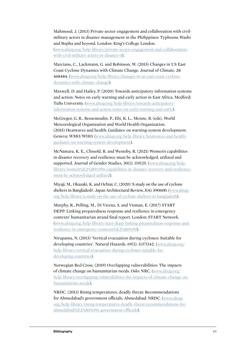Mahmood, J. (2013) Private sector engagement and collaboration with civilmilitary actors in disaster management in the Philippines: Typhoons Washi and Bopha and beyond. London: King's College London. (www.alnap.org/help-library/private-sector-engagement-and-collaboration-

with-civil-military-actors-in-disaster-0).

Marciano, C., Lackmann, G. and Robinson, W. (2015) Changes in US East Coast Cyclone Dynamics with Climate Change. Journal of Climate, 28: 468484. (www.alnap.org/help-library/changes-in-us-east-coast-cyclonedynamics-with-climate-change).

Maxwell, D. and Hailey, P. (2020) Towards anticipatory information systems and action: Notes on early warning and early action in East Africa. Medford: Tufts University. (www.alnap.org/help-library/towards-anticipatoryinformation-systems-and-action-notes-on-early-warning-and-early).

McGregor, G. R., Bessemoulin, P., Ebi, K. L., Menne, B. (eds), World Meteorological Organization and World Health Organization. (2015) Heatwaves and health: Guidance on warning-system development. Geneva: WMO/WHO. (www.alnap.org/help-library/heatwaves-and-healthguidance-on-warning-system-development).

McNamara, K. E., Clissold, R. and Westoby, R. (2021) Women's capabilities in disaster recovery and resilience must be acknowledged, utilized and supported. Journal of Gender Studies, 30(1): 119125. (www.alnap.org/helplibrary/women%E2%80%99s-capabilities-in-disaster-recovery-and-resiliencemust-be-acknowledged-utilized).

Miyaji, M., Okazaki, K. and Ochiai, C. (2020) 'A study on the use of cyclone shelters in Bangladesh'. Japan Architectural Review, 3(4): 590600. (www.alnap. org/help-library/a-study-on-the-use-of-cyclone-shelters-in-bangladesh).

Murphy, R., Pelling, M., Di Vicenz, S. and Visman, E. (2017) START DEPP: Linking preparedness response and resilience in emergency contexts' humanitarian strand final report. London: START Network. (www.alnap.org/help-library/start-depp-linking-preparedness-response-andresilience-in-emergency-contexts%E2%80%99).

Nirupama, N. (2013) 'Vertical evacuation during cyclones: Suitable for developing countries'. Natural Hazards, 69(1): 11371142. (www.alnap.org/ help-library/vertical-evacuation-during-cyclones-suitable-fordeveloping-countries).

Norwegian Red Cross. (2019) Overlapping vulnerabilities: The impacts of climate change on humanitarian needs. Oslo: NRC. (www.alnap.org/ help-library/overlapping-vulnerabilities-the-impacts-of-climate-change-onhumanitarian-needs).

NRDC. (2013) Rising temperatures, deadly threat: Recommendations for Ahmedabad's government officials. Ahmedabad: NRDC. (www.alnap. org/help-library/rising-temperatures-deadly-threat-recommendations-forahmedabad%E2%80%99s-government-officials).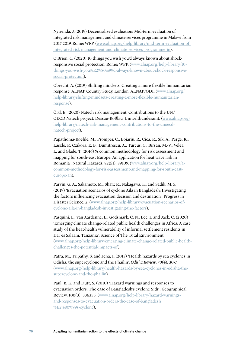Nyirenda, J. (2019) Decentralized evaluation: Mid-term evaluation of integrated risk management and climate services programme in Malawi from 2017-2019. Rome: WFP. (www.alnap.org/help-library/mid-term-evaluation-ofintegrated-risk-management-and-climate-services-programme-in).

O'Brien, C. (2020) 10 things you wish you'd always known about shockresponsive social protection. Rome: WFP. (www.alnap.org/help-library/10 things-you-wish-you%E2%80%99d-always-known-about-shock-responsivesocial-protection).

Obrecht, A. (2019) Shifting mindsets: Creating a more flexible humanitarian response. ALNAP Country Study. London: ALNAP/ODI. (www.alnap.org/ help-library/shifting-mindsets-creating-a-more-flexible-humanitarianresponse).

Örtl, E. (2020) Natech risk management: Contributions to the UN/ OECD Natech project. Dessau-Roßlau: Umweltbundesamt. (www.alnap.org/ help-library/natech-risk-management-contributions-to-the-unoecdnatech-project).

Papathoma-Koehle, M., Promper, C., Bojariu, R., Cica, R., Sik, A., Perge, K., László, P., Czikora, E. B., Dumitrescu, A., Turcus, C., Birsan, M.-V., Velea, L. and Glade, T. (2016) 'A common methodology for risk assessment and mapping for south-east Europe: An application for heat wave risk in Romania'. Natural Hazards, 82(S1): 89109. (www.alnap.org/help-library/acommon-methodology-for-risk-assessment-and-mapping-for-south-easteurope-an).

Parvin, G. A., Sakamoto, M., Shaw, R., Nakagawa, H. and Sadik, M. S. (2019) 'Evacuation scenarios of cyclone Aila in Bangladesh: Investigating the factors influencing evacuation decision and destination'. Progress in Disaster Science, 2. (www.alnap.org/help-library/evacuation-scenarios-ofcyclone-aila-in-bangladesh-investigating-the-factors).

Pasquini, L., van Aardenne, L., Godsmark, C. N., Lee, J. and Jack, C. (2020) 'Emerging climate change-related public health challenges in Africa: A case study of the heat-health vulnerability of informal settlement residents in Dar es Salaam, Tanzania'. Science of The Total Environment. (www.alnap.org/help-library/emerging-climate-change-related-public-healthchallenges-the-potential-impacts-of).

Patra, M., Tripathy, S. and Jena, I. (2013) 'Health hazards by sea cyclones in Odisha, the supercyclone and the Phailin'. *Odisha Review*, *70*(4): 30-7. (www.alnap.org/help-library/health-hazards-by-sea-cyclones-in-odisha-thesupercyclone-and-the-phailin)

Paul, B. K. and Dutt, S. (2010) 'Hazard warnings and responses to evacuation orders: The case of Bangladesh's cyclone Sidr'. Geographical Review, 100(3), 336355. (www.alnap.org/help-library/hazard-warningsand-responses-to-evacuation-orders-the-case-of-bangladesh %E2%80%99s-cyclone).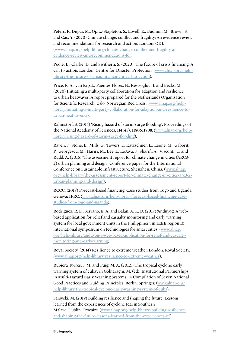Peters, K. Dupar, M., Opitz-Stapleton, S., Lovell, E., Budimir, M., Brown, S. and Cao, Y. (2020) Climate change, conflict and fragility: An evidence review and recommendations for research and action. London: ODI. (www.alnap.org/help-library/climate-change-conflict-and-fragility-anevidence-review-and-recommendations-for).

Poole, L., Clarke, D. and Swithern, S. (2020). The future of crisis financing: A call to action. London: Centre for Disaster Protection. (www.alnap.org/helplibrary/the-future-of-crisis-financing-a-call-to-action).

Price, R. A., van Erp, J., Fuentes Flores, N., Kesisoglou, I. and Becks, M. (2020) Initiating a multi-party collaboration for adaption and resilience to urban heatwaves: A report prepared for the Netherlands Organisation for Scientific Research. Oslo: Norwegian Red Cross. (www.alnap.org/helplibrary/initiating-a-multi-party-collaboration-for-adaption-and-resilience-tourban-heatwaves-a).

Rahmstorf, S. (2017) 'Rising hazard of storm-surge flooding'. Proceedings of the National Academy of Sciences, 114(45): 1180611808. (www.alnap.org/helplibrary/rising-hazard-of-storm-surge-flooding).

Raven, J., Stone, B., Mills, G., Towers, J., Katzschner, L., Leone, M., Gaborit, P., Georgescu, M., Hariri, M., Lee, J., LeJava, J., Sharifi, A., Visconti, C. and Rudd, A. (2016) 'The assessment report for climate change in cities (ARC3- 2) urban planning and design'. Conference paper for the International Conference on Sustainable Infrastructure, Shenzhen, China. (www.alnap. org/help-library/the-assessment-report-for-climate-change-in-cities-arc3-2 urban-planning-and-design).

RCCC. (2018) Forecast-based financing: Case studies from Togo and Uganda. Geneva: IFRC. (www.alnap.org/help-library/forecast-based-financing-casestudies-from-togo-and-uganda).

Rodriguez, R. L., Serrano, E. A. and Balan, A. K. D. (2017) 'Anduyog: A webbased application for relief and casualty monitoring and early warning system for local government units in the Philippines', in IEEE region 10 international symposium on technologies for smart cities. (www.alnap. org/help-library/anduyog-a-web-based-application-for-relief-and-casualtymonitoring-and-early-warning).

Royal Society. (2014) Resilience to extreme weather. London: Royal Society. (www.alnap.org/help-library/resilience-to-extreme-weather).

Rubiera Torres, J. M. and Puig, M. A. (2012) ‹The tropical cyclone early warning system of cuba', in Golnaraghi, M. (ed), Institutional Partnerships in Multi-Hazard Early Warning Systems : A Compilation of Seven National Good Practices and Guiding Principles. Berlin: Springer. (www.alnap.org/ help-library/the-tropical-cyclone-early-warning-system-of-cuba).

Sarsycki, M. (2019) Building resilience and shaping the future: Lessons learned from the experiences of cyclone Idai in Southern Malawi. Dublin: Trocaire. (www.alnap.org/help-library/building-resilienceand-shaping-the-future-lessons-learned-from-the-experiences-of).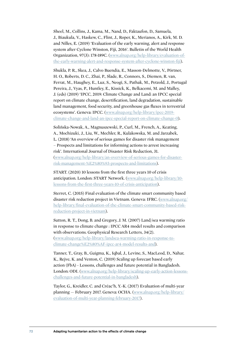Sheel, M., Collins, J., Kama, M., Nand, D., Faktaufon, D., Samuela, J., Biaukula, V., Haskew, C., Flint, J., Roper, K., Merianos, A., Kirk, M. D. and Nilles, E. (2019) 'Evaluation of the early warning, alert and response system after Cyclone Winston, Fiji, 2016'. Bulletin of the World Health Organization, 97(3): 178-189C. (www.alnap.org/help-library/evaluation-ofthe-early-warning-alert-and-response-system-after-cyclone-winston-fiji).

Shukla, P. R., Skea, J., Calvo Buendia, E., Masson-Delmotte, V., Pörtner, H. O., Roberts, D. C., Zhai, P., Slade, R., Connors, S., Diemen, R. van, Ferrat, M., Haughey, E., Luz, S., Neogi, S., Pathak, M., Petzold, J., Portugal Pereira, J., Vyas, P., Huntley, E., Kissick, K., Belkacemi, M. and Malley, J. (eds) (2019) 'IPCC, 2019: Climate Change and Land: an IPCC special report on climate change, desertification, land degradation, sustainable land management, food security, and greenhouse gas fluxes in terrestrial ecosystems'. Geneva: IPCC. (www.alnap.org/help-library/ipcc-2019 climate-change-and-land-an-ipcc-special-report-on-climate-change-0).

Solińska-Nowak, A., Magnuszewski, P., Curl, M., French, A., Keating, A., Mochizuki, J., Liu, W., Mechler, R., Kulakowska, M. and Jarzabek, L. (2018) 'An overview of serious games for disaster risk management – Prospects and limitations for informing actions to arrest increasing risk'. International Journal of Disaster Risk Reduction, 31. (www.alnap.org/help-library/an-overview-of-serious-games-for-disasterrisk-management-%E2%80%93-prospects-and-limitations).

START. (2020) 10 lessons from the first three years 10 of crisis anticipation. London: START Network. (www.alnap.org/help-library/10 lessons-from-the-first-three-years-10-of-crisis-anticipation).

Sterret, C. (2015) Final evaluation of the climate smart community based disaster risk reduction project in Vietnam. Geneva: IFRC. (www.alnap.org/ help-library/final-evaluation-of-the-climate-smart-community-based-riskreduction-project-in-vietnam).

Sutton, R. T., Dong, B. and Gregory, J. M. (2007) Land/sea warming ratio in response to climate change : IPCC AR4 model results and comparison with observations. Geophysical Research Letters, 34(2). (www.alnap.org/help-library/landsea-warming-ratio-in-response-toclimate-change%E2%80%AF-ipcc-ar4-model-results-and).

Tanner, T., Gray, B., Guigma, K., Iqbal, J., Levine, S., MacLeod, D., Nahar, K., Rejve, K. and Venton, C. (2019) Scaling up forecast based early action (FbA) - Lessons, challenges and future potential in Bangladesh. London: ODI. (www.alnap.org/help-library/scaling-up-early-action-lessonschallenges-and-future-potential-in-bangladesh).

Taylor, G., Kreidler, C. and Créac'h, Y.-K. (2017) Evaluation of multi-year planning — February 2017. Geneva: OCHA. (www.alnap.org/help-library/ evaluation-of-multi-year-planning-february-2017).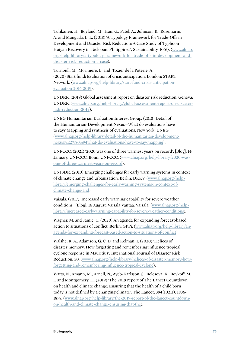Tuhkanen, H., Boyland, M., Han, G., Patel, A., Johnson, K., Rosemarin, A. and Mangada, L. L. (2018) 'A Typology Framework for Trade-Offs in Development and Disaster Risk Reduction: A Case Study of Typhoon Haiyan Recovery in Tacloban, Philippines'. Sustainability, 10(6). (www.alnap. org/help-library/a-typology-framework-for-trade-offs-in-development-anddisaster-risk-reduction-a-case).

Turnbull, M., Moriniere, L. and Tozier de la Poterie, A. (2020) Start fund: Evaluation of crisis anticipation. London: START Network. (www.alnap.org/help-library/start-fund-crisis-anticipationevaluation-2016-2019).

UNDRR. (2019) Global assessment report on disaster risk reduction. Geneva: UNDRR. (www.alnap.org/help-library/global-assessment-report-on-disasterrisk-reduction-2019).

UNEG Humanitarian Evaluation Interest Group. (2018) Detail of the Humanitarian-Development Nexus—What do evaluations have to say? Mapping and synthesis of evaluations. New York: UNEG. (www.alnap.org/help-library/detail-of-the-humanitarian-developmentnexus%E2%80%94what-do-evaluations-have-to-say-mapping).

UNFCCC. (2021) '2020 was one of three warmest years on record'. [Blog]. 14 January. UNFCCC. Bonn: UNFCCC. (www.alnap.org/help-library/2020-wasone-of-three-warmest-years-on-record).

UNISDR. (2010) Emerging challenges for early warning systems in context of climate change and urbanization. Berlin: DKKV. (www.alnap.org/helplibrary/emerging-challenges-for-early-warning-systems-in-context-ofclimate-change-and).

Vaisala. (2017) 'Increased early warning capability for severe weather conditions'. [Blog]. 16 August. Vaisala Vantaa: Vaisala. (www.alnap.org/helplibrary/increased-early-warning-capability-for-severe-weather-conditions).

Wagner, M. and Jamie, C. (2020) An agenda for expanding forecast-based action to situations of conflict. Berlin: GPPi. (www.alnap.org/help-library/anagenda-for-expanding-forecast-based-action-to-situations-of-conflict).

Walshe, R. A., Adamson, G. C. D. and Kelman, I. (2020) 'Helices of disaster memory: How forgetting and remembering influence tropical cyclone response in Mauritius'. International Journal of Disaster Risk Reduction, 50. (www.alnap.org/help-library/helices-of-disaster-memory-howforgetting-and-remembering-influence-tropical-cyclone).

Watts, N., Amann, M., Arnell, N., Ayeb-Karlsson, S., Belesova, K., Boykoff, M., ... and Montgomery, H. (2019) 'The 2019 report of The Lancet Countdown on health and climate change: Ensuring that the health of a child born today is not defined by a changing climate'. The Lancet, 394(10211): 1836- 1878. (www.alnap.org/help-library/the-2019-report-of-the-lancet-countdownon-health-and-climate-change-ensuring-that-the).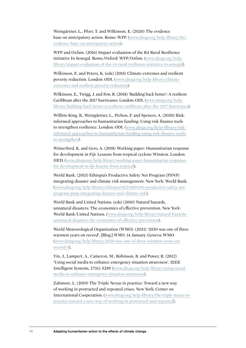Weingärtner, L., Pforr, T. and Wilkinson, E. (2020) The evidence base on anticipatory action. Rome: WFP. (www.alnap.org/help-library/theevidence-base-on-anticipatory-action).

WFP and Oxfam. (2016) Impact evaluation of the R4 Rural Resilience initiative In Senegal. Rome/Oxford: WFP/Oxfam. (www.alnap.org/helplibrary/impact-evaluation-of-the-r4-rural-resilience-initiative-in-senegal).

Wilkinson, E. and Peters, K. (eds) (2015) Climate extremes and resilient poverty reduction. London: ODI. (www.alnap.org/help-library/climateextremes-and-resilient-poverty-reduction).

Wilkinson, E., Twigg, J. and Few, R. (2018) 'Building back better': A resilient Caribbean after the 2017 hurricanes. London: ODI. (www.alnap.org/helplibrary/building-back-better-a-resilient-caribbean-after-the-2017-hurricanes).

Willitts-King, B., Weingärtner, L., Pichon, F. and Spencer, A. (2020) Riskinformed approaches to humanitarian funding: Using risk finance tools to strengthen resilience. London: ODI. (www.alnap.org/help-library/riskinformed-approaches-to-humanitarian-funding-using-risk-finance-toolsto-strengthen).

Winterford, K. and Gero, A. (2018) Working paper: Humanitarian response for development in Fiji: Lessons from tropical cyclone Winston. London: IIED. (www.alnap.org/help-library/working-paper-humanitarian-responsefor-development-in-fiji-lessons-from-tropical).

World Bank. (2013) Ethiopia's Productive Safety Net Program (PSNP) integrating disaster and climate risk management. New York: World Bank. (www.alnap.org/help-library/ethiopia%E2%80%99s-productive-safety-netprogram-psnp-integrating-disaster-and-climate-risk).

World Bank and United Nations. (eds) (2010) Natural hazards, unnatural disasters: The economics of effective prevention. New York: World Bank/United Nations. (www.alnap.org/help-library/natural-hazardsunnatural-disasters-the-economics-of-effective-prevention).

World Meteorological Organization (WMO). (2021) '2020 was one of three warmest years on record'. [Blog.] *WMO*. 14 January. Geneva: WMO (www.alnap.org/help-library/2020-was-one-of-three-warmest-years-onrecord-0).

Yin, J., Lampert, A., Cameron, M., Robinson, B. and Power, R. (2012) 'Using social media to enhance emergency situation awareness'. IEEE Intelligent Systems, 27(6): 5259. (www.alnap.org/help-library/using-socialmedia-to-enhance-emergency-situation-awareness).

Zahmore, L. (2019) The Triple Nexus in practice: Toward a new way of working in protracted and repeated crises. New York: Center on International Cooperation. (www.alnap.org/help-library/the-triple-nexus-inpractice-toward-a-new-way-of-working-in-protracted-and-repeated).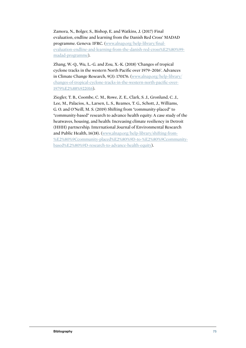Zamora, N., Bolger, S., Bishop, E. and Watkins, J. (2017) Final evaluation, endline and learning from the Danish Red Cross' MADAD programme. Geneva: IFRC. (www.alnap.org/help-library/finalevaluation-endline-and-learning-from-the-danish-red-cross%E2%80%99 madad-programme).

Zhang, W.-Q., Wu, L.-G. and Zou, X.-K. (2018) 'Changes of tropical cyclone tracks in the western North Pacific over 1979−2016'. Advances in Climate Change Research, 9(3): 170176. (www.alnap.org/help-library/ changes-of-tropical-cyclone-tracks-in-the-western-north-pacific-over-1979%E2%88%922016).

Ziegler, T. B., Coombe, C. M., Rowe, Z. E., Clark, S. J., Gronlund, C. J., Lee, M., Palacios, A., Larsen, L. S., Reames, T. G., Schott, J., Williams, G. O. and O'Neill, M. S. (2019) Shifting from "community-placed" to "community-based" research to advance health equity: A case study of the heatwaves, housing, and health: Increasing climate resiliency in Detroit (HHH) partnership. International Journal of Environmental Research and Public Health, 16(18). (www.alnap.org/help-library/shifting-from- %E2%80%9Ccommunity-placed%E2%80%9D-to-%E2%80%9Ccommunitybased%E2%80%9D-research-to-advance-health-equity).